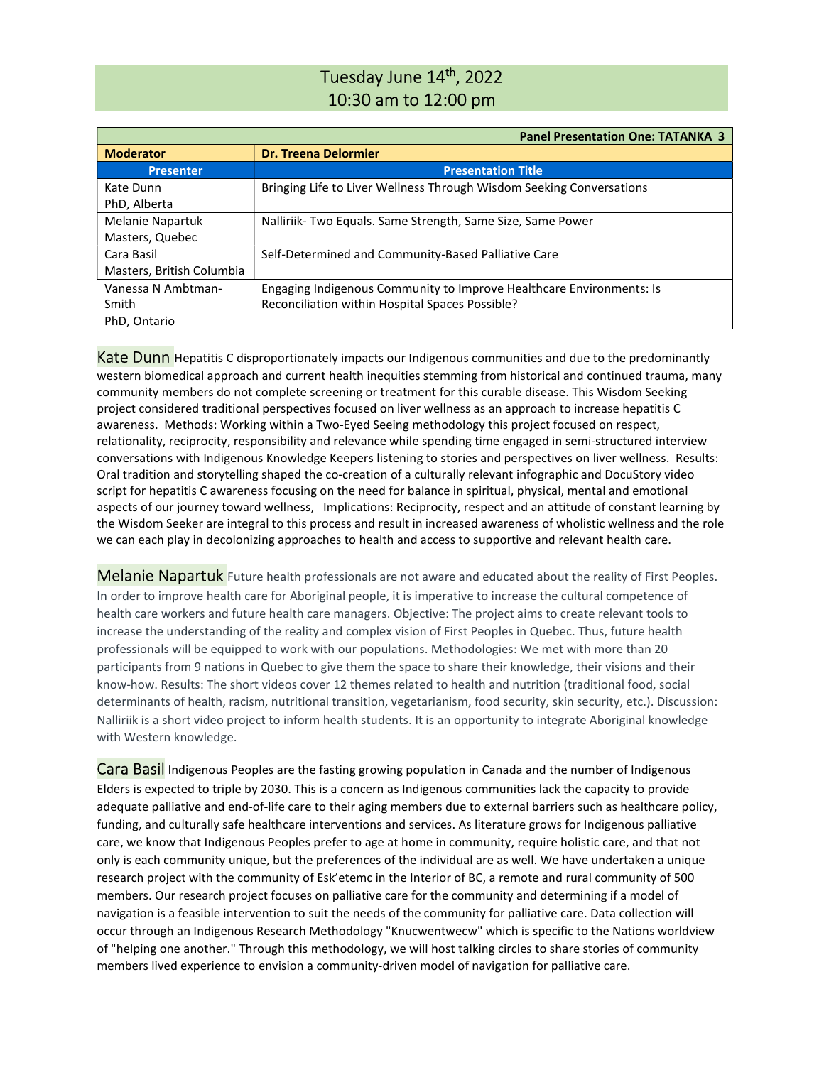# Tuesday June 14<sup>th</sup>, 2022 10:30 am to 12:00 pm

|                           | <b>Panel Presentation One: TATANKA 3</b>                             |
|---------------------------|----------------------------------------------------------------------|
| <b>Moderator</b>          | <b>Dr. Treena Delormier</b>                                          |
| <b>Presenter</b>          | <b>Presentation Title</b>                                            |
| Kate Dunn                 | Bringing Life to Liver Wellness Through Wisdom Seeking Conversations |
| PhD, Alberta              |                                                                      |
| <b>Melanie Napartuk</b>   | Nalliriik-Two Equals. Same Strength, Same Size, Same Power           |
| Masters, Quebec           |                                                                      |
| Cara Basil                | Self-Determined and Community-Based Palliative Care                  |
| Masters, British Columbia |                                                                      |
| Vanessa N Ambtman-        | Engaging Indigenous Community to Improve Healthcare Environments: Is |
| Smith                     | Reconciliation within Hospital Spaces Possible?                      |
| PhD, Ontario              |                                                                      |

**Kate Dunn** Hepatitis C disproportionately impacts our Indigenous communities and due to the predominantly western biomedical approach and current health inequities stemming from historical and continued trauma, many community members do not complete screening or treatment for this curable disease. This Wisdom Seeking project considered traditional perspectives focused on liver wellness as an approach to increase hepatitis C awareness. Methods: Working within a Two-Eyed Seeing methodology this project focused on respect, relationality, reciprocity, responsibility and relevance while spending time engaged in semi-structured interview conversations with Indigenous Knowledge Keepers listening to stories and perspectives on liver wellness. Results: Oral tradition and storytelling shaped the co-creation of a culturally relevant infographic and DocuStory video script for hepatitis C awareness focusing on the need for balance in spiritual, physical, mental and emotional aspects of our journey toward wellness, Implications: Reciprocity, respect and an attitude of constant learning by the Wisdom Seeker are integral to this process and result in increased awareness of wholistic wellness and the role we can each play in decolonizing approaches to health and access to supportive and relevant health care.

Melanie Napartuk Future health professionals are not aware and educated about the reality of First Peoples. In order to improve health care for Aboriginal people, it is imperative to increase the cultural competence of health care workers and future health care managers. Objective: The project aims to create relevant tools to increase the understanding of the reality and complex vision of First Peoples in Quebec. Thus, future health professionals will be equipped to work with our populations. Methodologies: We met with more than 20 participants from 9 nations in Quebec to give them the space to share their knowledge, their visions and their know-how. Results: The short videos cover 12 themes related to health and nutrition (traditional food, social determinants of health, racism, nutritional transition, vegetarianism, food security, skin security, etc.). Discussion: Nalliriik is a short video project to inform health students. It is an opportunity to integrate Aboriginal knowledge with Western knowledge.

Cara Basil Indigenous Peoples are the fasting growing population in Canada and the number of Indigenous Elders is expected to triple by 2030. This is a concern as Indigenous communities lack the capacity to provide adequate palliative and end-of-life care to their aging members due to external barriers such as healthcare policy, funding, and culturally safe healthcare interventions and services. As literature grows for Indigenous palliative care, we know that Indigenous Peoples prefer to age at home in community, require holistic care, and that not only is each community unique, but the preferences of the individual are as well. We have undertaken a unique research project with the community of Esk'etemc in the Interior of BC, a remote and rural community of 500 members. Our research project focuses on palliative care for the community and determining if a model of navigation is a feasible intervention to suit the needs of the community for palliative care. Data collection will occur through an Indigenous Research Methodology "Knucwentwecw" which is specific to the Nations worldview of "helping one another." Through this methodology, we will host talking circles to share stories of community members lived experience to envision a community-driven model of navigation for palliative care.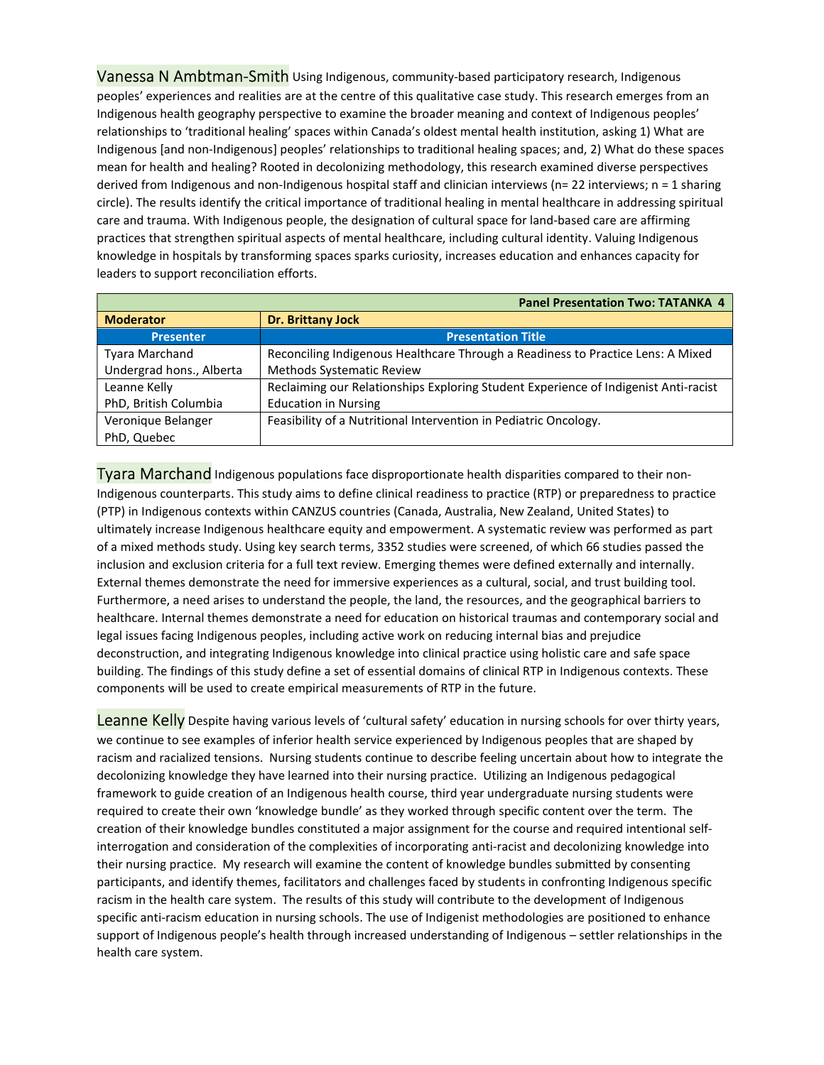Vanessa N Ambtman-Smith Using Indigenous, community-based participatory research, Indigenous peoples' experiences and realities are at the centre of this qualitative case study. This research emerges from an Indigenous health geography perspective to examine the broader meaning and context of Indigenous peoples' relationships to 'traditional healing' spaces within Canada's oldest mental health institution, asking 1) What are Indigenous [and non-Indigenous] peoples' relationships to traditional healing spaces; and, 2) What do these spaces mean for health and healing? Rooted in decolonizing methodology, this research examined diverse perspectives derived from Indigenous and non-Indigenous hospital staff and clinician interviews (n= 22 interviews; n = 1 sharing circle). The results identify the critical importance of traditional healing in mental healthcare in addressing spiritual care and trauma. With Indigenous people, the designation of cultural space for land-based care are affirming practices that strengthen spiritual aspects of mental healthcare, including cultural identity. Valuing Indigenous knowledge in hospitals by transforming spaces sparks curiosity, increases education and enhances capacity for leaders to support reconciliation efforts.

| <b>Panel Presentation Two: TATANKA 4</b> |                                                                                     |
|------------------------------------------|-------------------------------------------------------------------------------------|
| <b>Moderator</b>                         | <b>Dr. Brittany Jock</b>                                                            |
| <b>Presenter</b>                         | <b>Presentation Title</b>                                                           |
| <b>Tyara Marchand</b>                    | Reconciling Indigenous Healthcare Through a Readiness to Practice Lens: A Mixed     |
| Undergrad hons., Alberta                 | <b>Methods Systematic Review</b>                                                    |
| Leanne Kelly                             | Reclaiming our Relationships Exploring Student Experience of Indigenist Anti-racist |
| PhD, British Columbia                    | <b>Education in Nursing</b>                                                         |
| Veronique Belanger                       | Feasibility of a Nutritional Intervention in Pediatric Oncology.                    |
| PhD, Quebec                              |                                                                                     |

Tyara Marchand Indigenous populations face disproportionate health disparities compared to their non-Indigenous counterparts. This study aims to define clinical readiness to practice (RTP) or preparedness to practice (PTP) in Indigenous contexts within CANZUS countries (Canada, Australia, New Zealand, United States) to ultimately increase Indigenous healthcare equity and empowerment. A systematic review was performed as part of a mixed methods study. Using key search terms, 3352 studies were screened, of which 66 studies passed the inclusion and exclusion criteria for a full text review. Emerging themes were defined externally and internally. External themes demonstrate the need for immersive experiences as a cultural, social, and trust building tool. Furthermore, a need arises to understand the people, the land, the resources, and the geographical barriers to healthcare. Internal themes demonstrate a need for education on historical traumas and contemporary social and legal issues facing Indigenous peoples, including active work on reducing internal bias and prejudice deconstruction, and integrating Indigenous knowledge into clinical practice using holistic care and safe space building. The findings of this study define a set of essential domains of clinical RTP in Indigenous contexts. These components will be used to create empirical measurements of RTP in the future.

Leanne Kelly Despite having various levels of 'cultural safety' education in nursing schools for over thirty years, we continue to see examples of inferior health service experienced by Indigenous peoples that are shaped by racism and racialized tensions. Nursing students continue to describe feeling uncertain about how to integrate the decolonizing knowledge they have learned into their nursing practice. Utilizing an Indigenous pedagogical framework to guide creation of an Indigenous health course, third year undergraduate nursing students were required to create their own 'knowledge bundle' as they worked through specific content over the term. The creation of their knowledge bundles constituted a major assignment for the course and required intentional selfinterrogation and consideration of the complexities of incorporating anti-racist and decolonizing knowledge into their nursing practice. My research will examine the content of knowledge bundles submitted by consenting participants, and identify themes, facilitators and challenges faced by students in confronting Indigenous specific racism in the health care system. The results of this study will contribute to the development of Indigenous specific anti-racism education in nursing schools. The use of Indigenist methodologies are positioned to enhance support of Indigenous people's health through increased understanding of Indigenous – settler relationships in the health care system.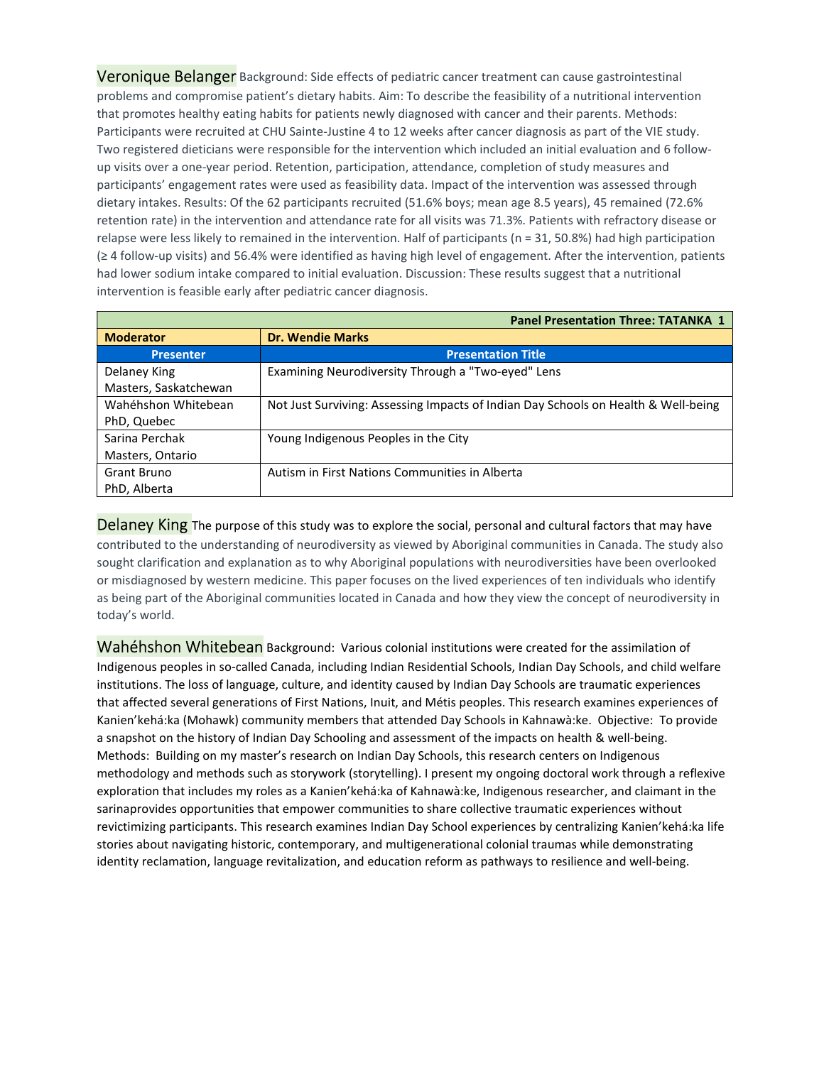Veronique Belanger Background: Side effects of pediatric cancer treatment can cause gastrointestinal problems and compromise patient's dietary habits. Aim: To describe the feasibility of a nutritional intervention that promotes healthy eating habits for patients newly diagnosed with cancer and their parents. Methods: Participants were recruited at CHU Sainte-Justine 4 to 12 weeks after cancer diagnosis as part of the VIE study. Two registered dieticians were responsible for the intervention which included an initial evaluation and 6 followup visits over a one-year period. Retention, participation, attendance, completion of study measures and participants' engagement rates were used as feasibility data. Impact of the intervention was assessed through dietary intakes. Results: Of the 62 participants recruited (51.6% boys; mean age 8.5 years), 45 remained (72.6% retention rate) in the intervention and attendance rate for all visits was 71.3%. Patients with refractory disease or relapse were less likely to remained in the intervention. Half of participants (n = 31, 50.8%) had high participation (≥ 4 follow-up visits) and 56.4% were identified as having high level of engagement. After the intervention, patients had lower sodium intake compared to initial evaluation. Discussion: These results suggest that a nutritional intervention is feasible early after pediatric cancer diagnosis.

| <b>Panel Presentation Three: TATANKA 1</b> |                                                                                    |
|--------------------------------------------|------------------------------------------------------------------------------------|
| <b>Moderator</b>                           | <b>Dr. Wendie Marks</b>                                                            |
| <b>Presenter</b>                           | <b>Presentation Title</b>                                                          |
| Delaney King                               | Examining Neurodiversity Through a "Two-eyed" Lens                                 |
| Masters, Saskatchewan                      |                                                                                    |
| Wahéhshon Whitebean                        | Not Just Surviving: Assessing Impacts of Indian Day Schools on Health & Well-being |
| PhD, Quebec                                |                                                                                    |
| Sarina Perchak                             | Young Indigenous Peoples in the City                                               |
| Masters, Ontario                           |                                                                                    |
| Grant Bruno                                | Autism in First Nations Communities in Alberta                                     |
| PhD, Alberta                               |                                                                                    |

Delaney King The purpose of this study was to explore the social, personal and cultural factors that may have contributed to the understanding of neurodiversity as viewed by Aboriginal communities in Canada. The study also sought clarification and explanation as to why Aboriginal populations with neurodiversities have been overlooked or misdiagnosed by western medicine. This paper focuses on the lived experiences of ten individuals who identify as being part of the Aboriginal communities located in Canada and how they view the concept of neurodiversity in today's world.

Wahéhshon Whitebean Background: Various colonial institutions were created for the assimilation of Indigenous peoples in so-called Canada, including Indian Residential Schools, Indian Day Schools, and child welfare institutions. The loss of language, culture, and identity caused by Indian Day Schools are traumatic experiences that affected several generations of First Nations, Inuit, and Métis peoples. This research examines experiences of Kanien'kehá:ka (Mohawk) community members that attended Day Schools in Kahnawà:ke. Objective: To provide a snapshot on the history of Indian Day Schooling and assessment of the impacts on health & well-being. Methods: Building on my master's research on Indian Day Schools, this research centers on Indigenous methodology and methods such as storywork (storytelling). I present my ongoing doctoral work through a reflexive exploration that includes my roles as a Kanien'kehá:ka of Kahnawà:ke, Indigenous researcher, and claimant in the sarinaprovides opportunities that empower communities to share collective traumatic experiences without revictimizing participants. This research examines Indian Day School experiences by centralizing Kanien'kehá:ka life stories about navigating historic, contemporary, and multigenerational colonial traumas while demonstrating identity reclamation, language revitalization, and education reform as pathways to resilience and well-being.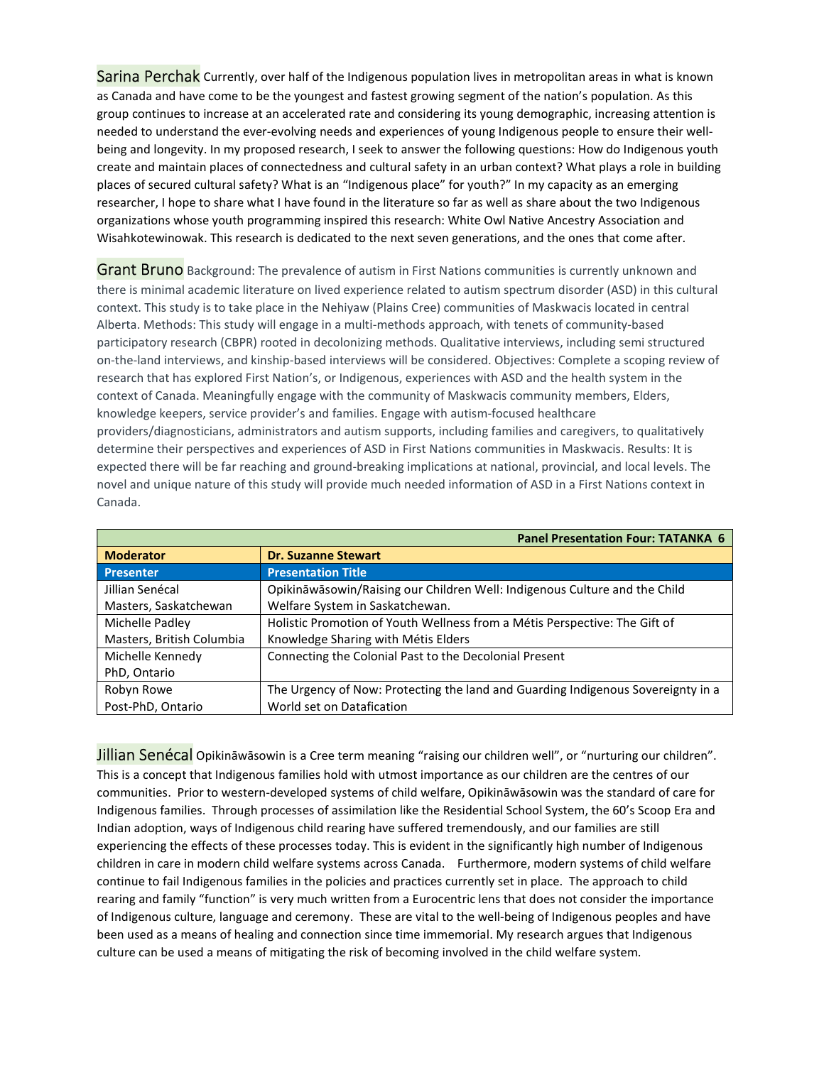Sarina Perchak Currently, over half of the Indigenous population lives in metropolitan areas in what is known as Canada and have come to be the youngest and fastest growing segment of the nation's population. As this group continues to increase at an accelerated rate and considering its young demographic, increasing attention is needed to understand the ever-evolving needs and experiences of young Indigenous people to ensure their wellbeing and longevity. In my proposed research, I seek to answer the following questions: How do Indigenous youth create and maintain places of connectedness and cultural safety in an urban context? What plays a role in building places of secured cultural safety? What is an "Indigenous place" for youth?" In my capacity as an emerging researcher, I hope to share what I have found in the literature so far as well as share about the two Indigenous organizations whose youth programming inspired this research: White Owl Native Ancestry Association and Wisahkotewinowak. This research is dedicated to the next seven generations, and the ones that come after.

**Grant Bruno** Background: The prevalence of autism in First Nations communities is currently unknown and there is minimal academic literature on lived experience related to autism spectrum disorder (ASD) in this cultural context. This study is to take place in the Nehiyaw (Plains Cree) communities of Maskwacis located in central Alberta. Methods: This study will engage in a multi-methods approach, with tenets of community-based participatory research (CBPR) rooted in decolonizing methods. Qualitative interviews, including semi structured on-the-land interviews, and kinship-based interviews will be considered. Objectives: Complete a scoping review of research that has explored First Nation's, or Indigenous, experiences with ASD and the health system in the context of Canada. Meaningfully engage with the community of Maskwacis community members, Elders, knowledge keepers, service provider's and families. Engage with autism-focused healthcare providers/diagnosticians, administrators and autism supports, including families and caregivers, to qualitatively determine their perspectives and experiences of ASD in First Nations communities in Maskwacis. Results: It is expected there will be far reaching and ground-breaking implications at national, provincial, and local levels. The novel and unique nature of this study will provide much needed information of ASD in a First Nations context in Canada.

|                           | <b>Panel Presentation Four: TATANKA 6</b>                                        |
|---------------------------|----------------------------------------------------------------------------------|
| <b>Moderator</b>          | <b>Dr. Suzanne Stewart</b>                                                       |
| <b>Presenter</b>          | <b>Presentation Title</b>                                                        |
| Jillian Senécal           | Opikināwāsowin/Raising our Children Well: Indigenous Culture and the Child       |
| Masters, Saskatchewan     | Welfare System in Saskatchewan.                                                  |
| Michelle Padley           | Holistic Promotion of Youth Wellness from a Métis Perspective: The Gift of       |
| Masters, British Columbia | Knowledge Sharing with Métis Elders                                              |
| Michelle Kennedy          | Connecting the Colonial Past to the Decolonial Present                           |
| PhD, Ontario              |                                                                                  |
| Robyn Rowe                | The Urgency of Now: Protecting the land and Guarding Indigenous Sovereignty in a |
| Post-PhD, Ontario         | World set on Datafication                                                        |

Jillian Senécal Opikināwāsowin is a Cree term meaning "raising our children well", or "nurturing our children". This is a concept that Indigenous families hold with utmost importance as our children are the centres of our communities. Prior to western-developed systems of child welfare, Opikināwāsowin was the standard of care for Indigenous families. Through processes of assimilation like the Residential School System, the 60's Scoop Era and Indian adoption, ways of Indigenous child rearing have suffered tremendously, and our families are still experiencing the effects of these processes today. This is evident in the significantly high number of Indigenous children in care in modern child welfare systems across Canada. Furthermore, modern systems of child welfare continue to fail Indigenous families in the policies and practices currently set in place. The approach to child rearing and family "function" is very much written from a Eurocentric lens that does not consider the importance of Indigenous culture, language and ceremony. These are vital to the well-being of Indigenous peoples and have been used as a means of healing and connection since time immemorial. My research argues that Indigenous culture can be used a means of mitigating the risk of becoming involved in the child welfare system.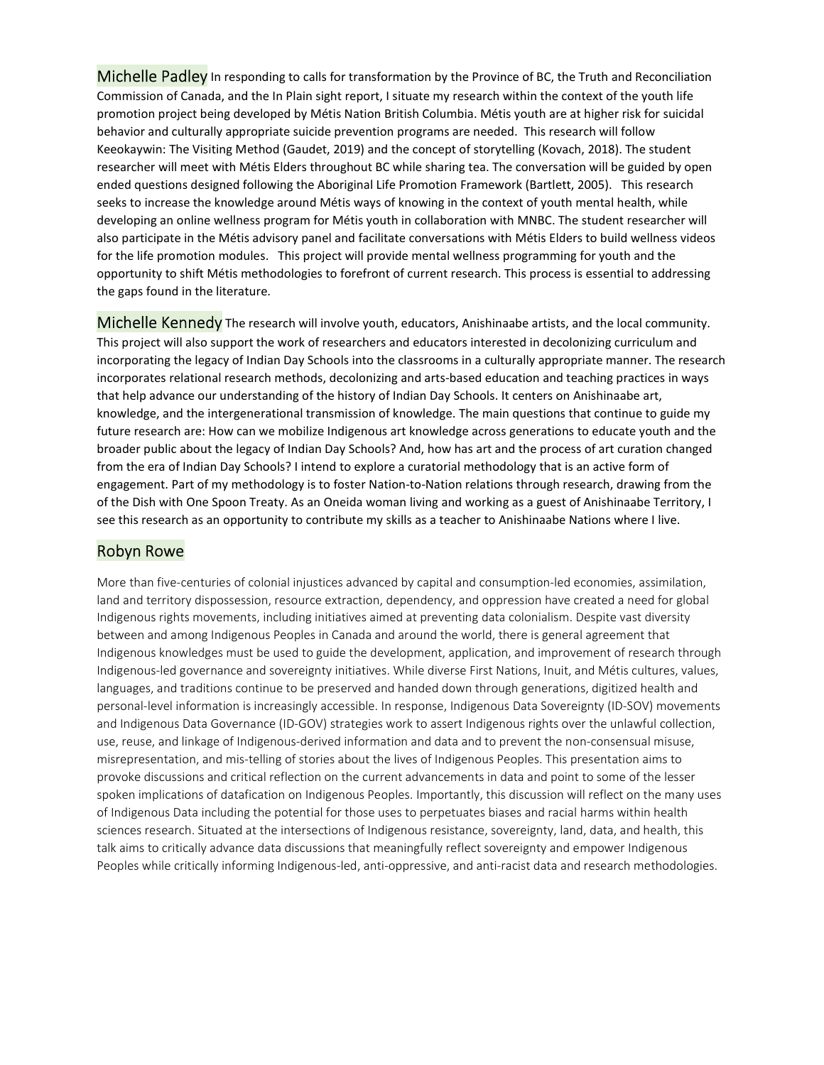Michelle Padley In responding to calls for transformation by the Province of BC, the Truth and Reconciliation Commission of Canada, and the In Plain sight report, I situate my research within the context of the youth life promotion project being developed by Métis Nation British Columbia. Métis youth are at higher risk for suicidal behavior and culturally appropriate suicide prevention programs are needed. This research will follow Keeokaywin: The Visiting Method (Gaudet, 2019) and the concept of storytelling (Kovach, 2018). The student researcher will meet with Métis Elders throughout BC while sharing tea. The conversation will be guided by open ended questions designed following the Aboriginal Life Promotion Framework (Bartlett, 2005). This research seeks to increase the knowledge around Métis ways of knowing in the context of youth mental health, while developing an online wellness program for Métis youth in collaboration with MNBC. The student researcher will also participate in the Métis advisory panel and facilitate conversations with Métis Elders to build wellness videos for the life promotion modules. This project will provide mental wellness programming for youth and the opportunity to shift Métis methodologies to forefront of current research. This process is essential to addressing the gaps found in the literature.

Michelle Kennedy The research will involve youth, educators, Anishinaabe artists, and the local community. This project will also support the work of researchers and educators interested in decolonizing curriculum and incorporating the legacy of Indian Day Schools into the classrooms in a culturally appropriate manner. The research incorporates relational research methods, decolonizing and arts-based education and teaching practices in ways that help advance our understanding of the history of Indian Day Schools. It centers on Anishinaabe art, knowledge, and the intergenerational transmission of knowledge. The main questions that continue to guide my future research are: How can we mobilize Indigenous art knowledge across generations to educate youth and the broader public about the legacy of Indian Day Schools? And, how has art and the process of art curation changed from the era of Indian Day Schools? I intend to explore a curatorial methodology that is an active form of engagement. Part of my methodology is to foster Nation-to-Nation relations through research, drawing from the of the Dish with One Spoon Treaty. As an Oneida woman living and working as a guest of Anishinaabe Territory, I see this research as an opportunity to contribute my skills as a teacher to Anishinaabe Nations where I live.

#### Robyn Rowe

More than five-centuries of colonial injustices advanced by capital and consumption-led economies, assimilation, land and territory dispossession, resource extraction, dependency, and oppression have created a need for global Indigenous rights movements, including initiatives aimed at preventing data colonialism. Despite vast diversity between and among Indigenous Peoples in Canada and around the world, there is general agreement that Indigenous knowledges must be used to guide the development, application, and improvement of research through Indigenous-led governance and sovereignty initiatives. While diverse First Nations, Inuit, and Métis cultures, values, languages, and traditions continue to be preserved and handed down through generations, digitized health and personal-level information is increasingly accessible. In response, Indigenous Data Sovereignty (ID-SOV) movements and Indigenous Data Governance (ID-GOV) strategies work to assert Indigenous rights over the unlawful collection, use, reuse, and linkage of Indigenous-derived information and data and to prevent the non-consensual misuse, misrepresentation, and mis-telling of stories about the lives of Indigenous Peoples. This presentation aims to provoke discussions and critical reflection on the current advancements in data and point to some of the lesser spoken implications of datafication on Indigenous Peoples. Importantly, this discussion will reflect on the many uses of Indigenous Data including the potential for those uses to perpetuates biases and racial harms within health sciences research. Situated at the intersections of Indigenous resistance, sovereignty, land, data, and health, this talk aims to critically advance data discussions that meaningfully reflect sovereignty and empower Indigenous Peoples while critically informing Indigenous-led, anti-oppressive, and anti-racist data and research methodologies.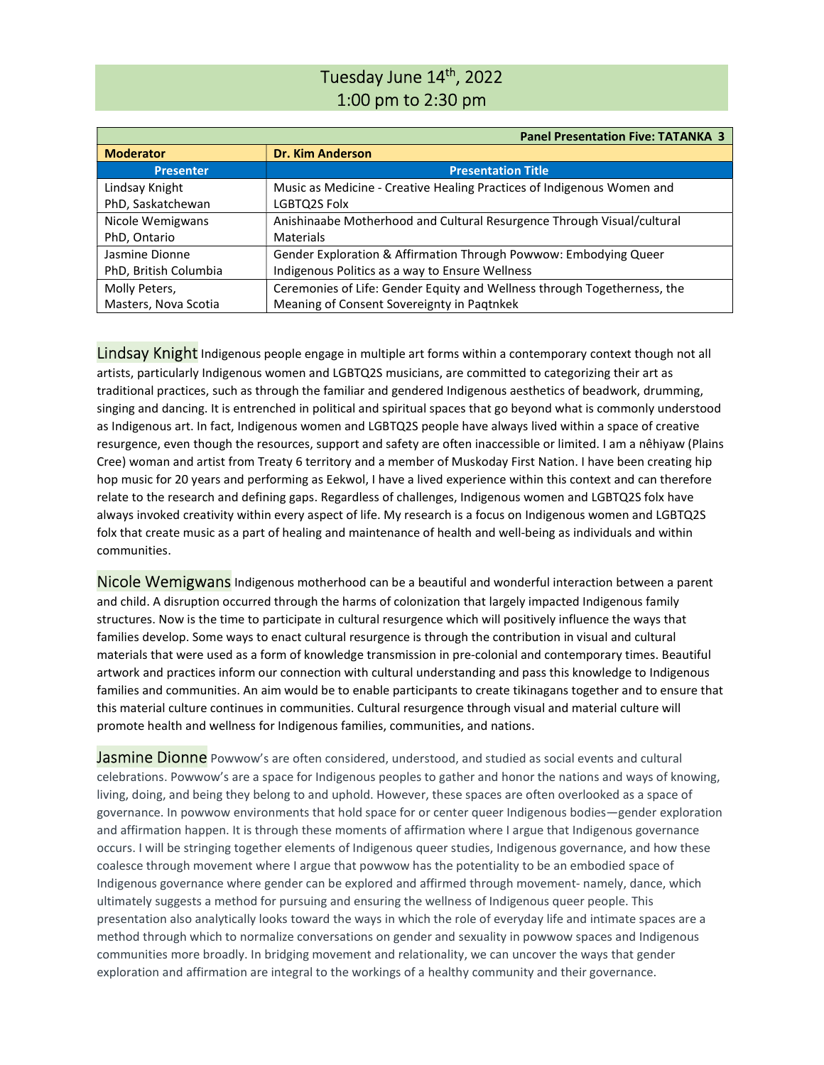# Tuesday June 14<sup>th</sup>, 2022 1:00 pm to 2:30 pm

|                       | <b>Panel Presentation Five: TATANKA 3</b>                                |
|-----------------------|--------------------------------------------------------------------------|
| <b>Moderator</b>      | <b>Dr. Kim Anderson</b>                                                  |
| <b>Presenter</b>      | <b>Presentation Title</b>                                                |
| Lindsay Knight        | Music as Medicine - Creative Healing Practices of Indigenous Women and   |
| PhD, Saskatchewan     | LGBTQ2S Folx                                                             |
| Nicole Wemigwans      | Anishinaabe Motherhood and Cultural Resurgence Through Visual/cultural   |
| PhD, Ontario          | Materials                                                                |
| Jasmine Dionne        | Gender Exploration & Affirmation Through Powwow: Embodying Queer         |
| PhD, British Columbia | Indigenous Politics as a way to Ensure Wellness                          |
| Molly Peters,         | Ceremonies of Life: Gender Equity and Wellness through Togetherness, the |
| Masters, Nova Scotia  | Meaning of Consent Sovereignty in Paqtnkek                               |

Lindsay Knight Indigenous people engage in multiple art forms within a contemporary context though not all artists, particularly Indigenous women and LGBTQ2S musicians, are committed to categorizing their art as traditional practices, such as through the familiar and gendered Indigenous aesthetics of beadwork, drumming, singing and dancing. It is entrenched in political and spiritual spaces that go beyond what is commonly understood as Indigenous art. In fact, Indigenous women and LGBTQ2S people have always lived within a space of creative resurgence, even though the resources, support and safety are often inaccessible or limited. I am a nêhiyaw (Plains Cree) woman and artist from Treaty 6 territory and a member of Muskoday First Nation. I have been creating hip hop music for 20 years and performing as Eekwol, I have a lived experience within this context and can therefore relate to the research and defining gaps. Regardless of challenges, Indigenous women and LGBTQ2S folx have always invoked creativity within every aspect of life. My research is a focus on Indigenous women and LGBTQ2S folx that create music as a part of healing and maintenance of health and well-being as individuals and within communities.

Nicole Wemigwans Indigenous motherhood can be a beautiful and wonderful interaction between a parent and child. A disruption occurred through the harms of colonization that largely impacted Indigenous family structures. Now is the time to participate in cultural resurgence which will positively influence the ways that families develop. Some ways to enact cultural resurgence is through the contribution in visual and cultural materials that were used as a form of knowledge transmission in pre-colonial and contemporary times. Beautiful artwork and practices inform our connection with cultural understanding and pass this knowledge to Indigenous families and communities. An aim would be to enable participants to create tikinagans together and to ensure that this material culture continues in communities. Cultural resurgence through visual and material culture will promote health and wellness for Indigenous families, communities, and nations.

**Jasmine Dionne** Powwow's are often considered, understood, and studied as social events and cultural celebrations. Powwow's are a space for Indigenous peoples to gather and honor the nations and ways of knowing, living, doing, and being they belong to and uphold. However, these spaces are often overlooked as a space of governance. In powwow environments that hold space for or center queer Indigenous bodies—gender exploration and affirmation happen. It is through these moments of affirmation where I argue that Indigenous governance occurs. I will be stringing together elements of Indigenous queer studies, Indigenous governance, and how these coalesce through movement where I argue that powwow has the potentiality to be an embodied space of Indigenous governance where gender can be explored and affirmed through movement- namely, dance, which ultimately suggests a method for pursuing and ensuring the wellness of Indigenous queer people. This presentation also analytically looks toward the ways in which the role of everyday life and intimate spaces are a method through which to normalize conversations on gender and sexuality in powwow spaces and Indigenous communities more broadly. In bridging movement and relationality, we can uncover the ways that gender exploration and affirmation are integral to the workings of a healthy community and their governance.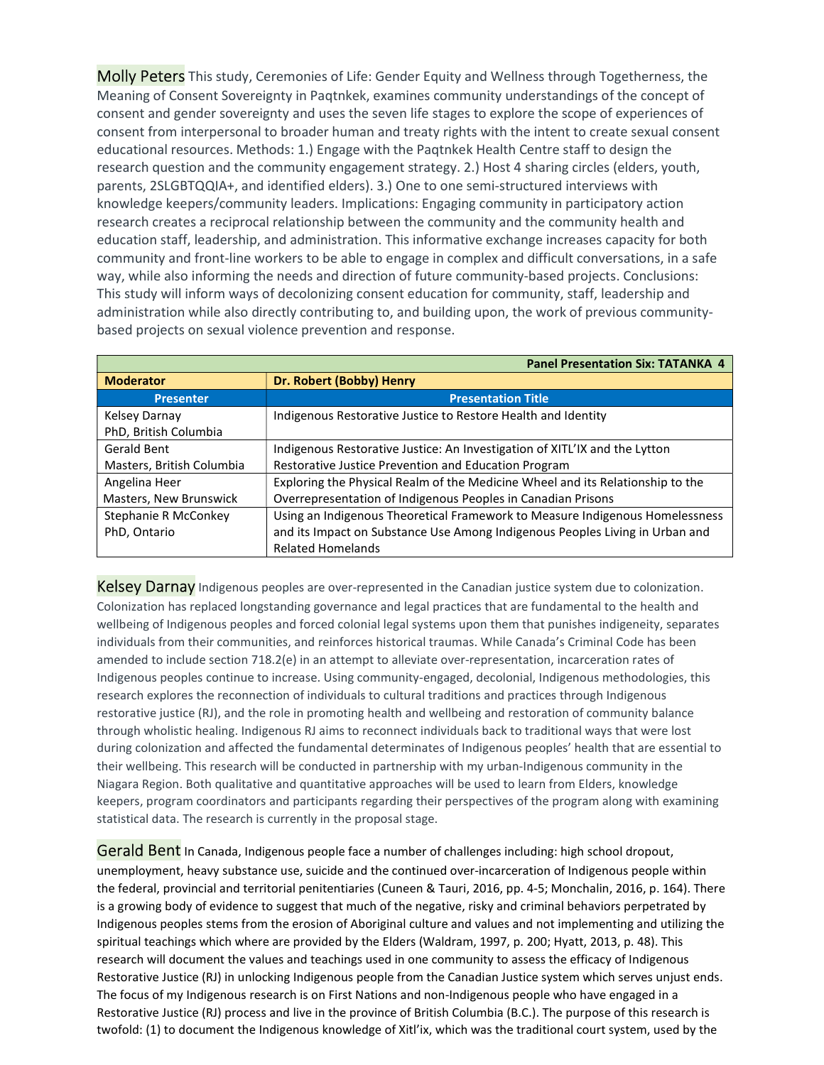Molly Peters This study, Ceremonies of Life: Gender Equity and Wellness through Togetherness, the Meaning of Consent Sovereignty in Paqtnkek, examines community understandings of the concept of consent and gender sovereignty and uses the seven life stages to explore the scope of experiences of consent from interpersonal to broader human and treaty rights with the intent to create sexual consent educational resources. Methods: 1.) Engage with the Paqtnkek Health Centre staff to design the research question and the community engagement strategy. 2.) Host 4 sharing circles (elders, youth, parents, 2SLGBTQQIA+, and identified elders). 3.) One to one semi-structured interviews with knowledge keepers/community leaders. Implications: Engaging community in participatory action research creates a reciprocal relationship between the community and the community health and education staff, leadership, and administration. This informative exchange increases capacity for both community and front-line workers to be able to engage in complex and difficult conversations, in a safe way, while also informing the needs and direction of future community-based projects. Conclusions: This study will inform ways of decolonizing consent education for community, staff, leadership and administration while also directly contributing to, and building upon, the work of previous communitybased projects on sexual violence prevention and response.

|                           | <b>Panel Presentation Six: TATANKA 4</b>                                       |
|---------------------------|--------------------------------------------------------------------------------|
| <b>Moderator</b>          | Dr. Robert (Bobby) Henry                                                       |
| <b>Presenter</b>          | <b>Presentation Title</b>                                                      |
| Kelsey Darnay             | Indigenous Restorative Justice to Restore Health and Identity                  |
| PhD, British Columbia     |                                                                                |
| Gerald Bent               | Indigenous Restorative Justice: An Investigation of XITL'IX and the Lytton     |
| Masters, British Columbia | Restorative Justice Prevention and Education Program                           |
| Angelina Heer             | Exploring the Physical Realm of the Medicine Wheel and its Relationship to the |
| Masters, New Brunswick    | Overrepresentation of Indigenous Peoples in Canadian Prisons                   |
| Stephanie R McConkey      | Using an Indigenous Theoretical Framework to Measure Indigenous Homelessness   |
| PhD, Ontario              | and its Impact on Substance Use Among Indigenous Peoples Living in Urban and   |
|                           | <b>Related Homelands</b>                                                       |

Kelsey Darnay Indigenous peoples are over-represented in the Canadian justice system due to colonization. Colonization has replaced longstanding governance and legal practices that are fundamental to the health and wellbeing of Indigenous peoples and forced colonial legal systems upon them that punishes indigeneity, separates individuals from their communities, and reinforces historical traumas. While Canada's Criminal Code has been amended to include section 718.2(e) in an attempt to alleviate over-representation, incarceration rates of Indigenous peoples continue to increase. Using community-engaged, decolonial, Indigenous methodologies, this research explores the reconnection of individuals to cultural traditions and practices through Indigenous restorative justice (RJ), and the role in promoting health and wellbeing and restoration of community balance through wholistic healing. Indigenous RJ aims to reconnect individuals back to traditional ways that were lost during colonization and affected the fundamental determinates of Indigenous peoples' health that are essential to their wellbeing. This research will be conducted in partnership with my urban-Indigenous community in the Niagara Region. Both qualitative and quantitative approaches will be used to learn from Elders, knowledge keepers, program coordinators and participants regarding their perspectives of the program along with examining statistical data. The research is currently in the proposal stage.

Gerald Bent In Canada, Indigenous people face a number of challenges including: high school dropout, unemployment, heavy substance use, suicide and the continued over-incarceration of Indigenous people within the federal, provincial and territorial penitentiaries (Cuneen & Tauri, 2016, pp. 4-5; Monchalin, 2016, p. 164). There is a growing body of evidence to suggest that much of the negative, risky and criminal behaviors perpetrated by Indigenous peoples stems from the erosion of Aboriginal culture and values and not implementing and utilizing the spiritual teachings which where are provided by the Elders (Waldram, 1997, p. 200; Hyatt, 2013, p. 48). This research will document the values and teachings used in one community to assess the efficacy of Indigenous Restorative Justice (RJ) in unlocking Indigenous people from the Canadian Justice system which serves unjust ends. The focus of my Indigenous research is on First Nations and non-Indigenous people who have engaged in a Restorative Justice (RJ) process and live in the province of British Columbia (B.C.). The purpose of this research is twofold: (1) to document the Indigenous knowledge of Xitl'ix, which was the traditional court system, used by the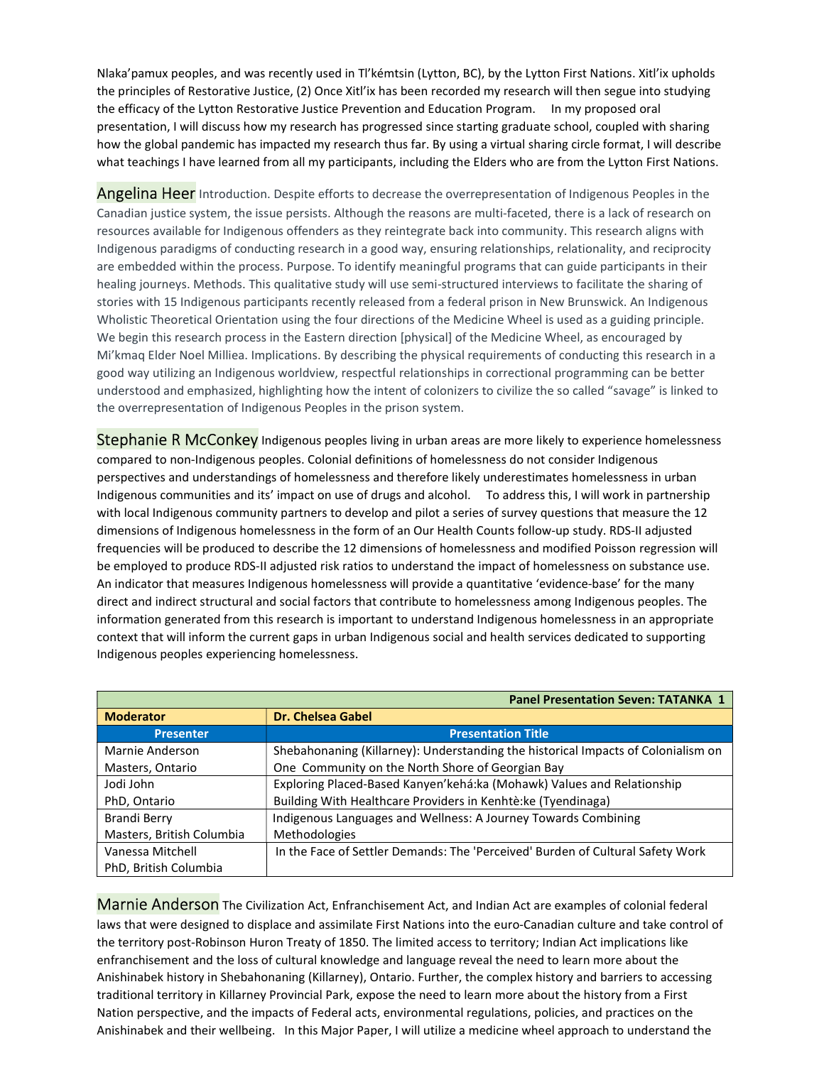Nlaka'pamux peoples, and was recently used in Tl'kémtsin (Lytton, BC), by the Lytton First Nations. Xitl'ix upholds the principles of Restorative Justice, (2) Once Xitl'ix has been recorded my research will then segue into studying the efficacy of the Lytton Restorative Justice Prevention and Education Program. In my proposed oral presentation, I will discuss how my research has progressed since starting graduate school, coupled with sharing how the global pandemic has impacted my research thus far. By using a virtual sharing circle format, I will describe what teachings I have learned from all my participants, including the Elders who are from the Lytton First Nations.

Angelina Heer Introduction. Despite efforts to decrease the overrepresentation of Indigenous Peoples in the Canadian justice system, the issue persists. Although the reasons are multi-faceted, there is a lack of research on resources available for Indigenous offenders as they reintegrate back into community. This research aligns with Indigenous paradigms of conducting research in a good way, ensuring relationships, relationality, and reciprocity are embedded within the process. Purpose. To identify meaningful programs that can guide participants in their healing journeys. Methods. This qualitative study will use semi-structured interviews to facilitate the sharing of stories with 15 Indigenous participants recently released from a federal prison in New Brunswick. An Indigenous Wholistic Theoretical Orientation using the four directions of the Medicine Wheel is used as a guiding principle. We begin this research process in the Eastern direction [physical] of the Medicine Wheel, as encouraged by Mi'kmaq Elder Noel Milliea. Implications. By describing the physical requirements of conducting this research in a good way utilizing an Indigenous worldview, respectful relationships in correctional programming can be better understood and emphasized, highlighting how the intent of colonizers to civilize the so called "savage" is linked to the overrepresentation of Indigenous Peoples in the prison system.

Stephanie R McConkey Indigenous peoples living in urban areas are more likely to experience homelessness compared to non-Indigenous peoples. Colonial definitions of homelessness do not consider Indigenous perspectives and understandings of homelessness and therefore likely underestimates homelessness in urban Indigenous communities and its' impact on use of drugs and alcohol. To address this, I will work in partnership with local Indigenous community partners to develop and pilot a series of survey questions that measure the 12 dimensions of Indigenous homelessness in the form of an Our Health Counts follow-up study. RDS-II adjusted frequencies will be produced to describe the 12 dimensions of homelessness and modified Poisson regression will be employed to produce RDS-II adjusted risk ratios to understand the impact of homelessness on substance use. An indicator that measures Indigenous homelessness will provide a quantitative 'evidence-base' for the many direct and indirect structural and social factors that contribute to homelessness among Indigenous peoples. The information generated from this research is important to understand Indigenous homelessness in an appropriate context that will inform the current gaps in urban Indigenous social and health services dedicated to supporting Indigenous peoples experiencing homelessness.

| <b>Panel Presentation Seven: TATANKA 1</b> |                                                                                   |
|--------------------------------------------|-----------------------------------------------------------------------------------|
| <b>Moderator</b>                           | <b>Dr. Chelsea Gabel</b>                                                          |
| Presenter                                  | <b>Presentation Title</b>                                                         |
| Marnie Anderson                            | Shebahonaning (Killarney): Understanding the historical Impacts of Colonialism on |
| Masters, Ontario                           | One Community on the North Shore of Georgian Bay                                  |
| Jodi John                                  | Exploring Placed-Based Kanyen'kehá:ka (Mohawk) Values and Relationship            |
| PhD, Ontario                               | Building With Healthcare Providers in Kenhtè: ke (Tyendinaga)                     |
| <b>Brandi Berry</b>                        | Indigenous Languages and Wellness: A Journey Towards Combining                    |
| Masters, British Columbia                  | Methodologies                                                                     |
| Vanessa Mitchell                           | In the Face of Settler Demands: The 'Perceived' Burden of Cultural Safety Work    |
| PhD, British Columbia                      |                                                                                   |

**Marnie Anderson** The Civilization Act, Enfranchisement Act, and Indian Act are examples of colonial federal laws that were designed to displace and assimilate First Nations into the euro-Canadian culture and take control of the territory post-Robinson Huron Treaty of 1850. The limited access to territory; Indian Act implications like enfranchisement and the loss of cultural knowledge and language reveal the need to learn more about the Anishinabek history in Shebahonaning (Killarney), Ontario. Further, the complex history and barriers to accessing traditional territory in Killarney Provincial Park, expose the need to learn more about the history from a First Nation perspective, and the impacts of Federal acts, environmental regulations, policies, and practices on the Anishinabek and their wellbeing. In this Major Paper, I will utilize a medicine wheel approach to understand the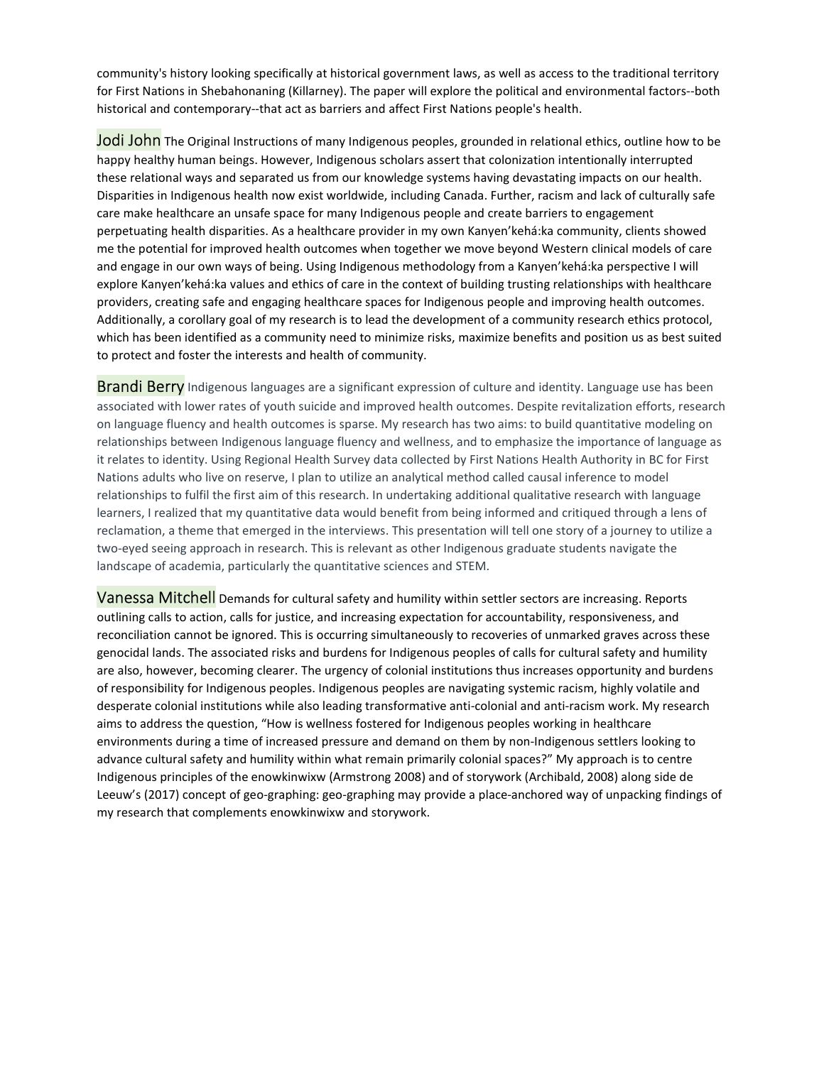community's history looking specifically at historical government laws, as well as access to the traditional territory for First Nations in Shebahonaning (Killarney). The paper will explore the political and environmental factors--both historical and contemporary--that act as barriers and affect First Nations people's health.

Jodi John The Original Instructions of many Indigenous peoples, grounded in relational ethics, outline how to be happy healthy human beings. However, Indigenous scholars assert that colonization intentionally interrupted these relational ways and separated us from our knowledge systems having devastating impacts on our health. Disparities in Indigenous health now exist worldwide, including Canada. Further, racism and lack of culturally safe care make healthcare an unsafe space for many Indigenous people and create barriers to engagement perpetuating health disparities. As a healthcare provider in my own Kanyen'kehá:ka community, clients showed me the potential for improved health outcomes when together we move beyond Western clinical models of care and engage in our own ways of being. Using Indigenous methodology from a Kanyen'kehá:ka perspective I will explore Kanyen'kehá:ka values and ethics of care in the context of building trusting relationships with healthcare providers, creating safe and engaging healthcare spaces for Indigenous people and improving health outcomes. Additionally, a corollary goal of my research is to lead the development of a community research ethics protocol, which has been identified as a community need to minimize risks, maximize benefits and position us as best suited to protect and foster the interests and health of community.

**Brandi Berry** Indigenous languages are a significant expression of culture and identity. Language use has been associated with lower rates of youth suicide and improved health outcomes. Despite revitalization efforts, research on language fluency and health outcomes is sparse. My research has two aims: to build quantitative modeling on relationships between Indigenous language fluency and wellness, and to emphasize the importance of language as it relates to identity. Using Regional Health Survey data collected by First Nations Health Authority in BC for First Nations adults who live on reserve, I plan to utilize an analytical method called causal inference to model relationships to fulfil the first aim of this research. In undertaking additional qualitative research with language learners, I realized that my quantitative data would benefit from being informed and critiqued through a lens of reclamation, a theme that emerged in the interviews. This presentation will tell one story of a journey to utilize a two-eyed seeing approach in research. This is relevant as other Indigenous graduate students navigate the landscape of academia, particularly the quantitative sciences and STEM.

Vanessa Mitchell Demands for cultural safety and humility within settler sectors are increasing. Reports outlining calls to action, calls for justice, and increasing expectation for accountability, responsiveness, and reconciliation cannot be ignored. This is occurring simultaneously to recoveries of unmarked graves across these genocidal lands. The associated risks and burdens for Indigenous peoples of calls for cultural safety and humility are also, however, becoming clearer. The urgency of colonial institutions thus increases opportunity and burdens of responsibility for Indigenous peoples. Indigenous peoples are navigating systemic racism, highly volatile and desperate colonial institutions while also leading transformative anti-colonial and anti-racism work. My research aims to address the question, "How is wellness fostered for Indigenous peoples working in healthcare environments during a time of increased pressure and demand on them by non-Indigenous settlers looking to advance cultural safety and humility within what remain primarily colonial spaces?" My approach is to centre Indigenous principles of the enowkinwixw (Armstrong 2008) and of storywork (Archibald, 2008) along side de Leeuw's (2017) concept of geo-graphing: geo-graphing may provide a place-anchored way of unpacking findings of my research that complements enowkinwixw and storywork.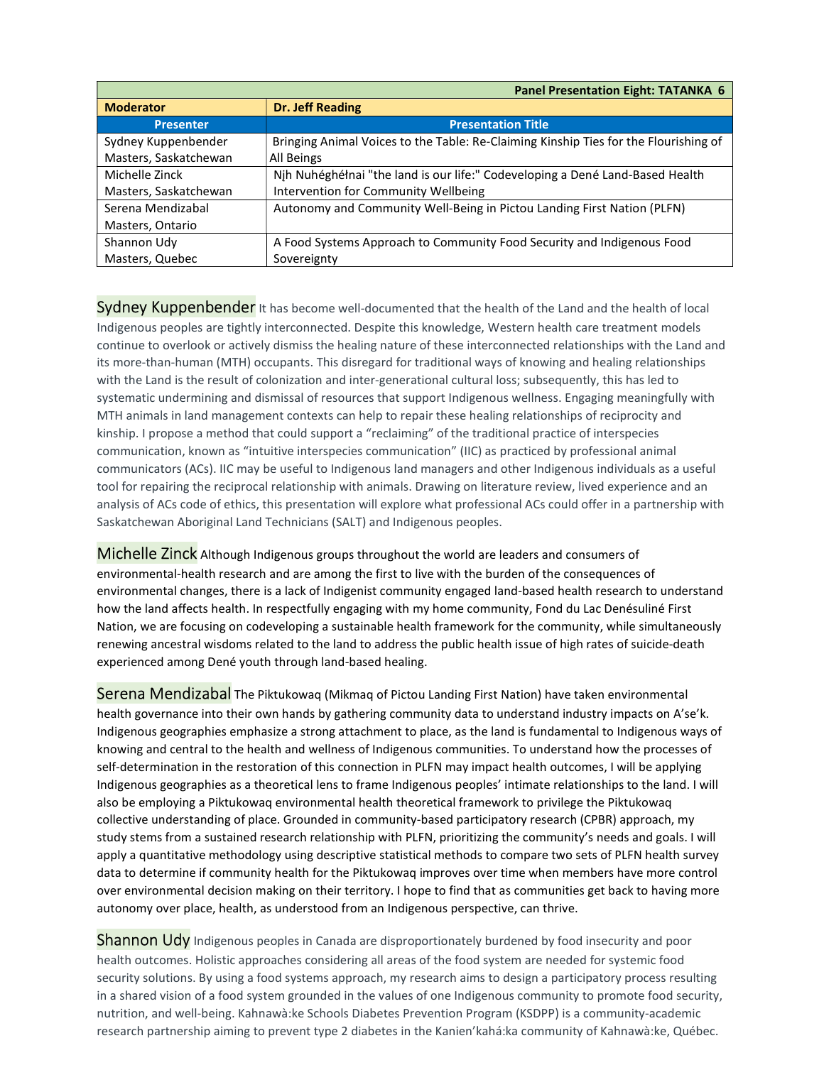|                       | <b>Panel Presentation Eight: TATANKA 6</b>                                           |
|-----------------------|--------------------------------------------------------------------------------------|
| <b>Moderator</b>      | <b>Dr. Jeff Reading</b>                                                              |
| <b>Presenter</b>      | <b>Presentation Title</b>                                                            |
| Sydney Kuppenbender   | Bringing Animal Voices to the Table: Re-Claiming Kinship Ties for the Flourishing of |
| Masters, Saskatchewan | All Beings                                                                           |
| Michelle Zinck        | Njh Nuhéghéłnai "the land is our life:" Codeveloping a Dené Land-Based Health        |
| Masters, Saskatchewan | Intervention for Community Wellbeing                                                 |
| Serena Mendizabal     | Autonomy and Community Well-Being in Pictou Landing First Nation (PLFN)              |
| Masters, Ontario      |                                                                                      |
| Shannon Udy           | A Food Systems Approach to Community Food Security and Indigenous Food               |
| Masters, Quebec       | Sovereignty                                                                          |

**Sydney Kuppenbender** It has become well-documented that the health of the Land and the health of local Indigenous peoples are tightly interconnected. Despite this knowledge, Western health care treatment models continue to overlook or actively dismiss the healing nature of these interconnected relationships with the Land and its more-than-human (MTH) occupants. This disregard for traditional ways of knowing and healing relationships with the Land is the result of colonization and inter-generational cultural loss; subsequently, this has led to systematic undermining and dismissal of resources that support Indigenous wellness. Engaging meaningfully with MTH animals in land management contexts can help to repair these healing relationships of reciprocity and kinship. I propose a method that could support a "reclaiming" of the traditional practice of interspecies communication, known as "intuitive interspecies communication" (IIC) as practiced by professional animal communicators (ACs). IIC may be useful to Indigenous land managers and other Indigenous individuals as a useful tool for repairing the reciprocal relationship with animals. Drawing on literature review, lived experience and an analysis of ACs code of ethics, this presentation will explore what professional ACs could offer in a partnership with Saskatchewan Aboriginal Land Technicians (SALT) and Indigenous peoples.

Michelle Zinck Although Indigenous groups throughout the world are leaders and consumers of environmental-health research and are among the first to live with the burden of the consequences of environmental changes, there is a lack of Indigenist community engaged land-based health research to understand how the land affects health. In respectfully engaging with my home community, Fond du Lac Denésuliné First Nation, we are focusing on codeveloping a sustainable health framework for the community, while simultaneously renewing ancestral wisdoms related to the land to address the public health issue of high rates of suicide-death experienced among Dené youth through land-based healing.

Serena Mendizabal The Piktukowaq (Mikmaq of Pictou Landing First Nation) have taken environmental health governance into their own hands by gathering community data to understand industry impacts on A'se'k. Indigenous geographies emphasize a strong attachment to place, as the land is fundamental to Indigenous ways of knowing and central to the health and wellness of Indigenous communities. To understand how the processes of self-determination in the restoration of this connection in PLFN may impact health outcomes, I will be applying Indigenous geographies as a theoretical lens to frame Indigenous peoples' intimate relationships to the land. I will also be employing a Piktukowaq environmental health theoretical framework to privilege the Piktukowaq collective understanding of place. Grounded in community-based participatory research (CPBR) approach, my study stems from a sustained research relationship with PLFN, prioritizing the community's needs and goals. I will apply a quantitative methodology using descriptive statistical methods to compare two sets of PLFN health survey data to determine if community health for the Piktukowaq improves over time when members have more control over environmental decision making on their territory. I hope to find that as communities get back to having more autonomy over place, health, as understood from an Indigenous perspective, can thrive.

**Shannon Udy** Indigenous peoples in Canada are disproportionately burdened by food insecurity and poor health outcomes. Holistic approaches considering all areas of the food system are needed for systemic food security solutions. By using a food systems approach, my research aims to design a participatory process resulting in a shared vision of a food system grounded in the values of one Indigenous community to promote food security, nutrition, and well-being. Kahnawà:ke Schools Diabetes Prevention Program (KSDPP) is a community-academic research partnership aiming to prevent type 2 diabetes in the Kanien'kahá:ka community of Kahnawà:ke, Québec.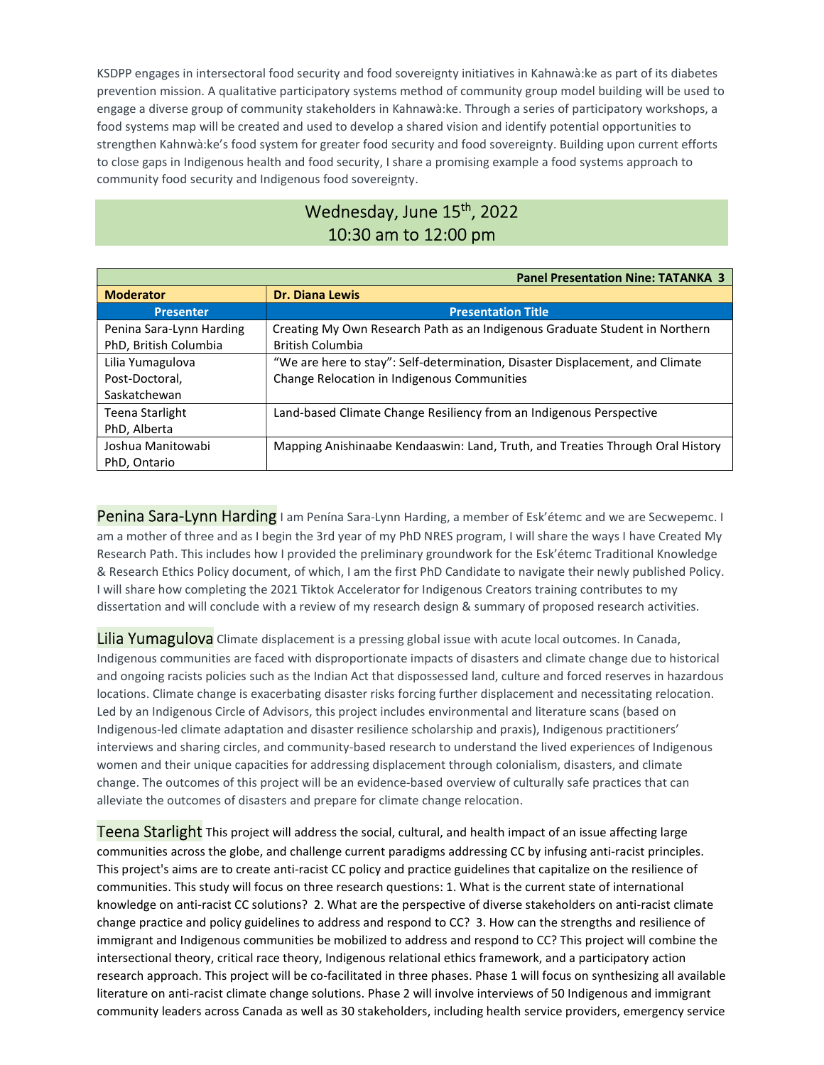KSDPP engages in intersectoral food security and food sovereignty initiatives in Kahnawà:ke as part of its diabetes prevention mission. A qualitative participatory systems method of community group model building will be used to engage a diverse group of community stakeholders in Kahnawà:ke. Through a series of participatory workshops, a food systems map will be created and used to develop a shared vision and identify potential opportunities to strengthen Kahnwà:ke's food system for greater food security and food sovereignty. Building upon current efforts to close gaps in Indigenous health and food security, I share a promising example a food systems approach to community food security and Indigenous food sovereignty.

## Wednesday, June 15<sup>th</sup>, 2022 10:30 am to 12:00 pm

|                          | <b>Panel Presentation Nine: TATANKA 3</b>                                      |
|--------------------------|--------------------------------------------------------------------------------|
| <b>Moderator</b>         | <b>Dr. Diana Lewis</b>                                                         |
| <b>Presenter</b>         | <b>Presentation Title</b>                                                      |
| Penina Sara-Lynn Harding | Creating My Own Research Path as an Indigenous Graduate Student in Northern    |
| PhD, British Columbia    | <b>British Columbia</b>                                                        |
| Lilia Yumagulova         | "We are here to stay": Self-determination, Disaster Displacement, and Climate  |
| Post-Doctoral.           | Change Relocation in Indigenous Communities                                    |
| Saskatchewan             |                                                                                |
| Teena Starlight          | Land-based Climate Change Resiliency from an Indigenous Perspective            |
| PhD, Alberta             |                                                                                |
| Joshua Manitowabi        | Mapping Anishinaabe Kendaaswin: Land, Truth, and Treaties Through Oral History |
| PhD, Ontario             |                                                                                |

Penina Sara-Lynn Harding I am Penína Sara-Lynn Harding, a member of Esk'étemc and we are Secwepemc. I am a mother of three and as I begin the 3rd year of my PhD NRES program, I will share the ways I have Created My Research Path. This includes how I provided the preliminary groundwork for the Esk'étemc Traditional Knowledge & Research Ethics Policy document, of which, I am the first PhD Candidate to navigate their newly published Policy. I will share how completing the 2021 Tiktok Accelerator for Indigenous Creators training contributes to my dissertation and will conclude with a review of my research design & summary of proposed research activities.

Lilia Yumagulova Climate displacement is a pressing global issue with acute local outcomes. In Canada, Indigenous communities are faced with disproportionate impacts of disasters and climate change due to historical and ongoing racists policies such as the Indian Act that dispossessed land, culture and forced reserves in hazardous locations. Climate change is exacerbating disaster risks forcing further displacement and necessitating relocation. Led by an Indigenous Circle of Advisors, this project includes environmental and literature scans (based on Indigenous-led climate adaptation and disaster resilience scholarship and praxis), Indigenous practitioners' interviews and sharing circles, and community-based research to understand the lived experiences of Indigenous women and their unique capacities for addressing displacement through colonialism, disasters, and climate change. The outcomes of this project will be an evidence-based overview of culturally safe practices that can alleviate the outcomes of disasters and prepare for climate change relocation.

Teena Starlight This project will address the social, cultural, and health impact of an issue affecting large communities across the globe, and challenge current paradigms addressing CC by infusing anti-racist principles. This project's aims are to create anti-racist CC policy and practice guidelines that capitalize on the resilience of communities. This study will focus on three research questions: 1. What is the current state of international knowledge on anti-racist CC solutions? 2. What are the perspective of diverse stakeholders on anti-racist climate change practice and policy guidelines to address and respond to CC? 3. How can the strengths and resilience of immigrant and Indigenous communities be mobilized to address and respond to CC? This project will combine the intersectional theory, critical race theory, Indigenous relational ethics framework, and a participatory action research approach. This project will be co-facilitated in three phases. Phase 1 will focus on synthesizing all available literature on anti-racist climate change solutions. Phase 2 will involve interviews of 50 Indigenous and immigrant community leaders across Canada as well as 30 stakeholders, including health service providers, emergency service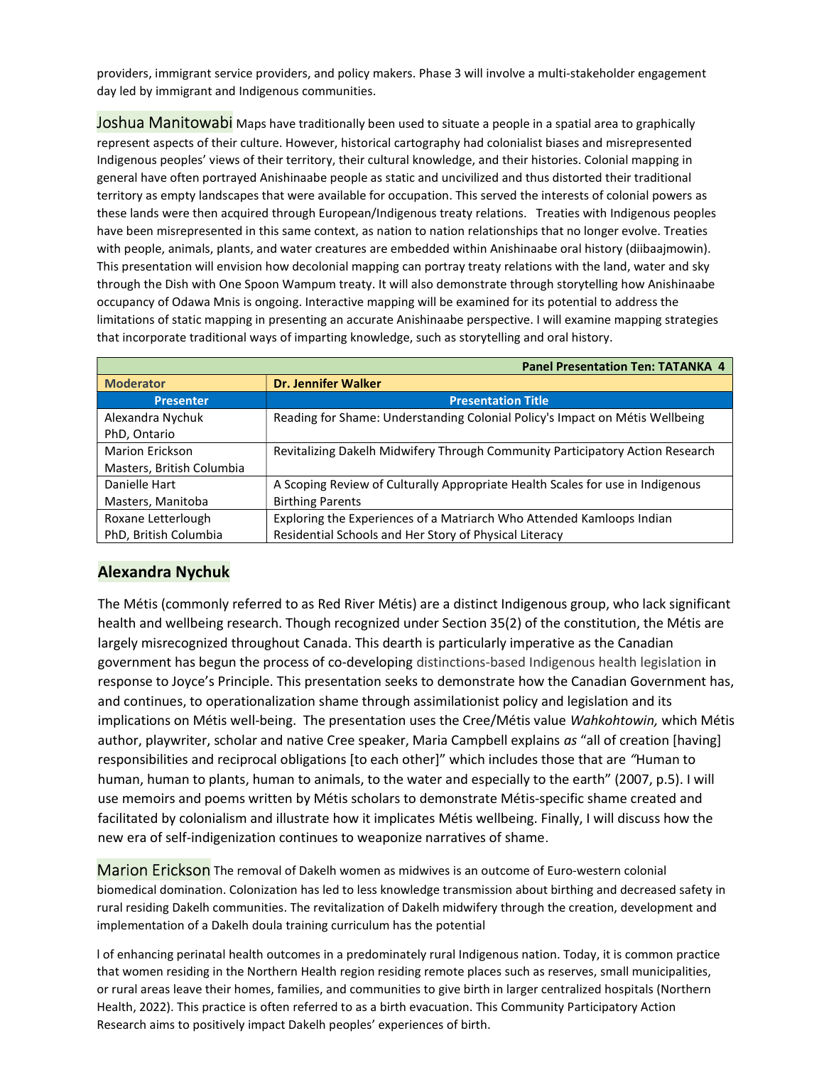providers, immigrant service providers, and policy makers. Phase 3 will involve a multi-stakeholder engagement day led by immigrant and Indigenous communities.

Joshua Manitowabi Maps have traditionally been used to situate a people in a spatial area to graphically represent aspects of their culture. However, historical cartography had colonialist biases and misrepresented Indigenous peoples' views of their territory, their cultural knowledge, and their histories. Colonial mapping in general have often portrayed Anishinaabe people as static and uncivilized and thus distorted their traditional territory as empty landscapes that were available for occupation. This served the interests of colonial powers as these lands were then acquired through European/Indigenous treaty relations. Treaties with Indigenous peoples have been misrepresented in this same context, as nation to nation relationships that no longer evolve. Treaties with people, animals, plants, and water creatures are embedded within Anishinaabe oral history (diibaajmowin). This presentation will envision how decolonial mapping can portray treaty relations with the land, water and sky through the Dish with One Spoon Wampum treaty. It will also demonstrate through storytelling how Anishinaabe occupancy of Odawa Mnis is ongoing. Interactive mapping will be examined for its potential to address the limitations of static mapping in presenting an accurate Anishinaabe perspective. I will examine mapping strategies that incorporate traditional ways of imparting knowledge, such as storytelling and oral history.

| <b>Panel Presentation Ten: TATANKA 4</b> |                                                                                |
|------------------------------------------|--------------------------------------------------------------------------------|
| <b>Moderator</b>                         | <b>Dr. Jennifer Walker</b>                                                     |
| <b>Presenter</b>                         | <b>Presentation Title</b>                                                      |
| Alexandra Nychuk                         | Reading for Shame: Understanding Colonial Policy's Impact on Métis Wellbeing   |
| PhD, Ontario                             |                                                                                |
| <b>Marion Erickson</b>                   | Revitalizing Dakelh Midwifery Through Community Participatory Action Research  |
| Masters, British Columbia                |                                                                                |
| Danielle Hart                            | A Scoping Review of Culturally Appropriate Health Scales for use in Indigenous |
| Masters, Manitoba                        | <b>Birthing Parents</b>                                                        |
| Roxane Letterlough                       | Exploring the Experiences of a Matriarch Who Attended Kamloops Indian          |
| PhD, British Columbia                    | Residential Schools and Her Story of Physical Literacy                         |

### Alexandra Nychuk

The Métis (commonly referred to as Red River Métis) are a distinct Indigenous group, who lack significant health and wellbeing research. Though recognized under Section 35(2) of the constitution, the Métis are largely misrecognized throughout Canada. This dearth is particularly imperative as the Canadian government has begun the process of co-developing distinctions-based Indigenous health legislation in response to Joyce's Principle. This presentation seeks to demonstrate how the Canadian Government has, and continues, to operationalization shame through assimilationist policy and legislation and its implications on Métis well-being. The presentation uses the Cree/Métis value Wahkohtowin, which Métis author, playwriter, scholar and native Cree speaker, Maria Campbell explains as "all of creation [having] responsibilities and reciprocal obligations [to each other]" which includes those that are "Human to human, human to plants, human to animals, to the water and especially to the earth" (2007, p.5). I will use memoirs and poems written by Métis scholars to demonstrate Métis-specific shame created and facilitated by colonialism and illustrate how it implicates Métis wellbeing. Finally, I will discuss how the new era of self-indigenization continues to weaponize narratives of shame.

Marion Erickson The removal of Dakelh women as midwives is an outcome of Euro-western colonial biomedical domination. Colonization has led to less knowledge transmission about birthing and decreased safety in rural residing Dakelh communities. The revitalization of Dakelh midwifery through the creation, development and implementation of a Dakelh doula training curriculum has the potential

l of enhancing perinatal health outcomes in a predominately rural Indigenous nation. Today, it is common practice that women residing in the Northern Health region residing remote places such as reserves, small municipalities, or rural areas leave their homes, families, and communities to give birth in larger centralized hospitals (Northern Health, 2022). This practice is often referred to as a birth evacuation. This Community Participatory Action Research aims to positively impact Dakelh peoples' experiences of birth.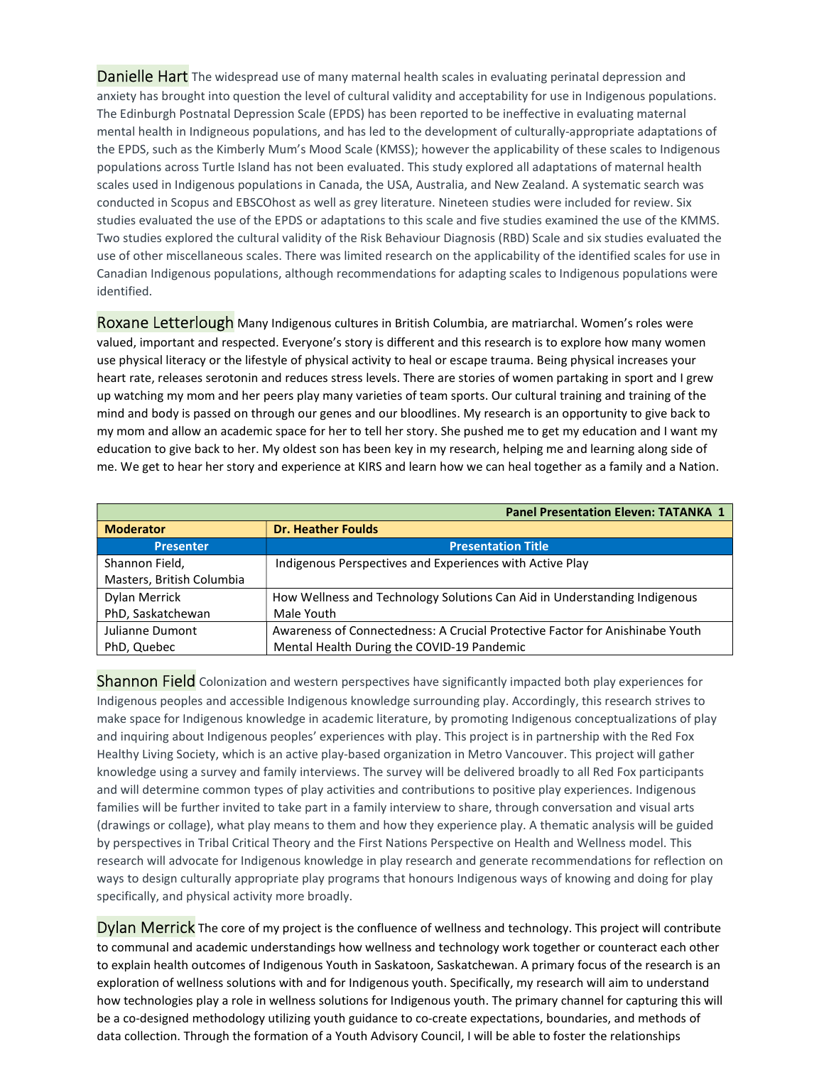**Danielle Hart** The widespread use of many maternal health scales in evaluating perinatal depression and anxiety has brought into question the level of cultural validity and acceptability for use in Indigenous populations. The Edinburgh Postnatal Depression Scale (EPDS) has been reported to be ineffective in evaluating maternal mental health in Indigneous populations, and has led to the development of culturally-appropriate adaptations of the EPDS, such as the Kimberly Mum's Mood Scale (KMSS); however the applicability of these scales to Indigenous populations across Turtle Island has not been evaluated. This study explored all adaptations of maternal health scales used in Indigenous populations in Canada, the USA, Australia, and New Zealand. A systematic search was conducted in Scopus and EBSCOhost as well as grey literature. Nineteen studies were included for review. Six studies evaluated the use of the EPDS or adaptations to this scale and five studies examined the use of the KMMS. Two studies explored the cultural validity of the Risk Behaviour Diagnosis (RBD) Scale and six studies evaluated the use of other miscellaneous scales. There was limited research on the applicability of the identified scales for use in Canadian Indigenous populations, although recommendations for adapting scales to Indigenous populations were identified.

Roxane Letterlough Many Indigenous cultures in British Columbia, are matriarchal. Women's roles were valued, important and respected. Everyone's story is different and this research is to explore how many women use physical literacy or the lifestyle of physical activity to heal or escape trauma. Being physical increases your heart rate, releases serotonin and reduces stress levels. There are stories of women partaking in sport and I grew up watching my mom and her peers play many varieties of team sports. Our cultural training and training of the mind and body is passed on through our genes and our bloodlines. My research is an opportunity to give back to my mom and allow an academic space for her to tell her story. She pushed me to get my education and I want my education to give back to her. My oldest son has been key in my research, helping me and learning along side of me. We get to hear her story and experience at KIRS and learn how we can heal together as a family and a Nation.

| <b>Panel Presentation Eleven: TATANKA 1</b> |                                                                              |
|---------------------------------------------|------------------------------------------------------------------------------|
| <b>Moderator</b>                            | <b>Dr. Heather Foulds</b>                                                    |
| <b>Presenter</b>                            | <b>Presentation Title</b>                                                    |
| Shannon Field,                              | Indigenous Perspectives and Experiences with Active Play                     |
| Masters, British Columbia                   |                                                                              |
| Dylan Merrick                               | How Wellness and Technology Solutions Can Aid in Understanding Indigenous    |
| PhD, Saskatchewan                           | Male Youth                                                                   |
| Julianne Dumont                             | Awareness of Connectedness: A Crucial Protective Factor for Anishinabe Youth |
| PhD, Quebec                                 | Mental Health During the COVID-19 Pandemic                                   |

Shannon Field Colonization and western perspectives have significantly impacted both play experiences for Indigenous peoples and accessible Indigenous knowledge surrounding play. Accordingly, this research strives to make space for Indigenous knowledge in academic literature, by promoting Indigenous conceptualizations of play and inquiring about Indigenous peoples' experiences with play. This project is in partnership with the Red Fox Healthy Living Society, which is an active play-based organization in Metro Vancouver. This project will gather knowledge using a survey and family interviews. The survey will be delivered broadly to all Red Fox participants and will determine common types of play activities and contributions to positive play experiences. Indigenous families will be further invited to take part in a family interview to share, through conversation and visual arts (drawings or collage), what play means to them and how they experience play. A thematic analysis will be guided by perspectives in Tribal Critical Theory and the First Nations Perspective on Health and Wellness model. This research will advocate for Indigenous knowledge in play research and generate recommendations for reflection on ways to design culturally appropriate play programs that honours Indigenous ways of knowing and doing for play specifically, and physical activity more broadly.

Dylan Merrick The core of my project is the confluence of wellness and technology. This project will contribute to communal and academic understandings how wellness and technology work together or counteract each other to explain health outcomes of Indigenous Youth in Saskatoon, Saskatchewan. A primary focus of the research is an exploration of wellness solutions with and for Indigenous youth. Specifically, my research will aim to understand how technologies play a role in wellness solutions for Indigenous youth. The primary channel for capturing this will be a co-designed methodology utilizing youth guidance to co-create expectations, boundaries, and methods of data collection. Through the formation of a Youth Advisory Council, I will be able to foster the relationships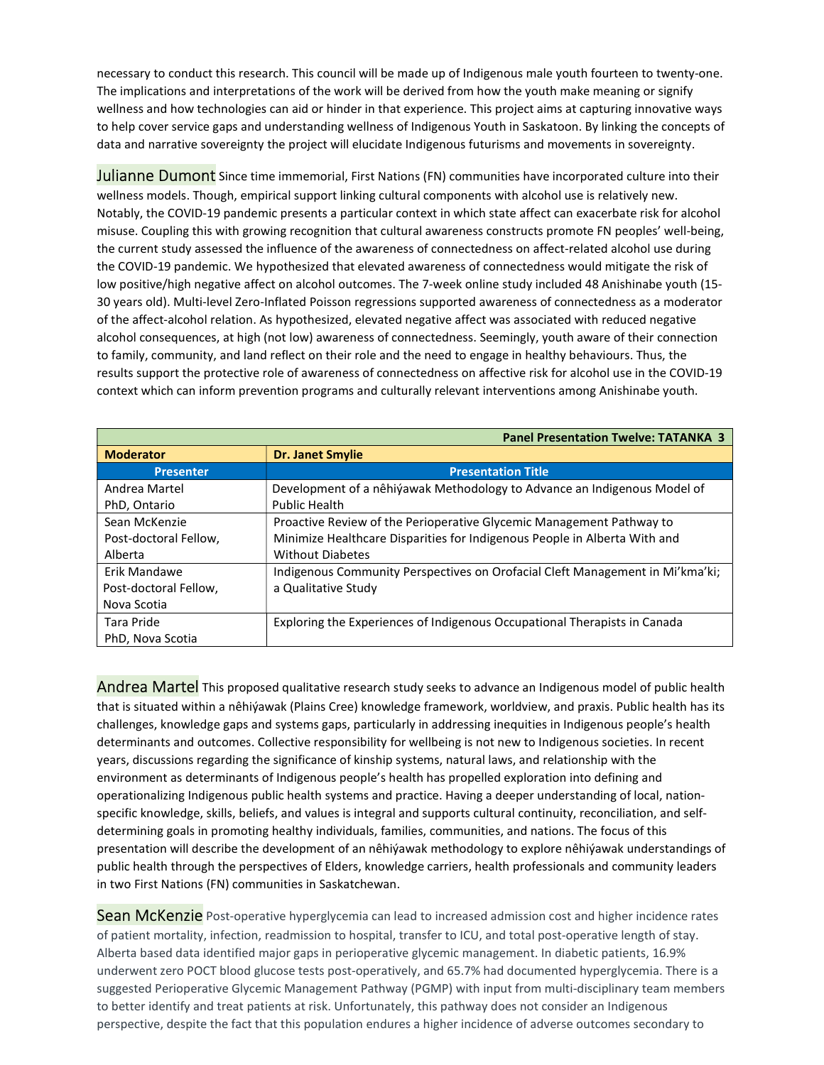necessary to conduct this research. This council will be made up of Indigenous male youth fourteen to twenty-one. The implications and interpretations of the work will be derived from how the youth make meaning or signify wellness and how technologies can aid or hinder in that experience. This project aims at capturing innovative ways to help cover service gaps and understanding wellness of Indigenous Youth in Saskatoon. By linking the concepts of data and narrative sovereignty the project will elucidate Indigenous futurisms and movements in sovereignty.

Julianne Dumont Since time immemorial, First Nations (FN) communities have incorporated culture into their wellness models. Though, empirical support linking cultural components with alcohol use is relatively new. Notably, the COVID-19 pandemic presents a particular context in which state affect can exacerbate risk for alcohol misuse. Coupling this with growing recognition that cultural awareness constructs promote FN peoples' well-being, the current study assessed the influence of the awareness of connectedness on affect-related alcohol use during the COVID-19 pandemic. We hypothesized that elevated awareness of connectedness would mitigate the risk of low positive/high negative affect on alcohol outcomes. The 7-week online study included 48 Anishinabe youth (15- 30 years old). Multi-level Zero-Inflated Poisson regressions supported awareness of connectedness as a moderator of the affect-alcohol relation. As hypothesized, elevated negative affect was associated with reduced negative alcohol consequences, at high (not low) awareness of connectedness. Seemingly, youth aware of their connection to family, community, and land reflect on their role and the need to engage in healthy behaviours. Thus, the results support the protective role of awareness of connectedness on affective risk for alcohol use in the COVID-19 context which can inform prevention programs and culturally relevant interventions among Anishinabe youth.

|                       | <b>Panel Presentation Twelve: TATANKA 3</b>                                   |
|-----------------------|-------------------------------------------------------------------------------|
| <b>Moderator</b>      | <b>Dr. Janet Smylie</b>                                                       |
| <b>Presenter</b>      | <b>Presentation Title</b>                                                     |
| Andrea Martel         | Development of a nêhiýawak Methodology to Advance an Indigenous Model of      |
| PhD, Ontario          | <b>Public Health</b>                                                          |
| Sean McKenzie         | Proactive Review of the Perioperative Glycemic Management Pathway to          |
| Post-doctoral Fellow, | Minimize Healthcare Disparities for Indigenous People in Alberta With and     |
| Alberta               | <b>Without Diabetes</b>                                                       |
| Erik Mandawe          | Indigenous Community Perspectives on Orofacial Cleft Management in Mi'kma'ki; |
| Post-doctoral Fellow, | a Qualitative Study                                                           |
| Nova Scotia           |                                                                               |
| Tara Pride            | Exploring the Experiences of Indigenous Occupational Therapists in Canada     |
| PhD, Nova Scotia      |                                                                               |

Andrea Martel This proposed qualitative research study seeks to advance an Indigenous model of public health that is situated within a nêhiýawak (Plains Cree) knowledge framework, worldview, and praxis. Public health has its challenges, knowledge gaps and systems gaps, particularly in addressing inequities in Indigenous people's health determinants and outcomes. Collective responsibility for wellbeing is not new to Indigenous societies. In recent years, discussions regarding the significance of kinship systems, natural laws, and relationship with the environment as determinants of Indigenous people's health has propelled exploration into defining and operationalizing Indigenous public health systems and practice. Having a deeper understanding of local, nationspecific knowledge, skills, beliefs, and values is integral and supports cultural continuity, reconciliation, and selfdetermining goals in promoting healthy individuals, families, communities, and nations. The focus of this presentation will describe the development of an nêhiýawak methodology to explore nêhiýawak understandings of public health through the perspectives of Elders, knowledge carriers, health professionals and community leaders in two First Nations (FN) communities in Saskatchewan.

Sean McKenzie Post-operative hyperglycemia can lead to increased admission cost and higher incidence rates of patient mortality, infection, readmission to hospital, transfer to ICU, and total post-operative length of stay. Alberta based data identified major gaps in perioperative glycemic management. In diabetic patients, 16.9% underwent zero POCT blood glucose tests post-operatively, and 65.7% had documented hyperglycemia. There is a suggested Perioperative Glycemic Management Pathway (PGMP) with input from multi-disciplinary team members to better identify and treat patients at risk. Unfortunately, this pathway does not consider an Indigenous perspective, despite the fact that this population endures a higher incidence of adverse outcomes secondary to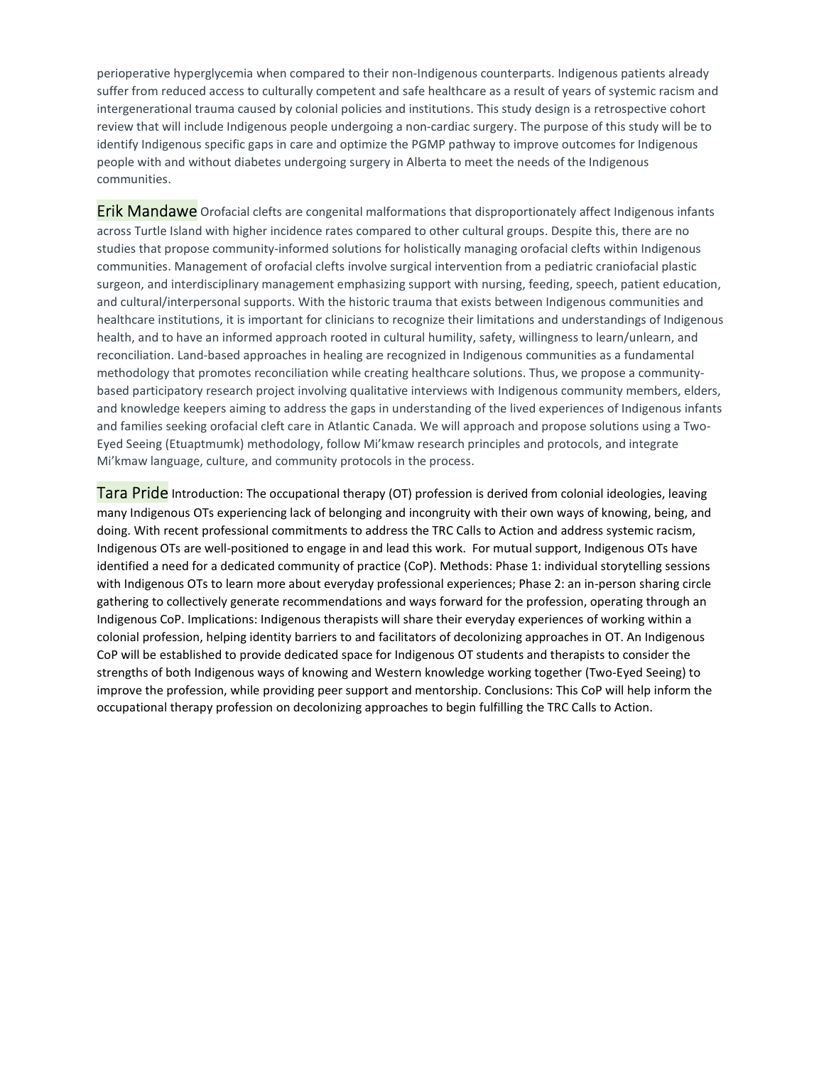perioperative hyperglycemia when compared to their non-Indigenous counterparts. Indigenous patients already suffer from reduced access to culturally competent and safe healthcare as a result of years of systemic racism and intergenerational trauma caused by colonial policies and institutions. This study design is a retrospective cohort review that will include Indigenous people undergoing a non-cardiac surgery. The purpose of this study will be to identify Indigenous specific gaps in care and optimize the PGMP pathway to improve outcomes for Indigenous people with and without diabetes undergoing surgery in Alberta to meet the needs of the Indigenous communities.

Erik Mandawe Orofacial clefts are congenital malformations that disproportionately affect Indigenous infants across Turtle Island with higher incidence rates compared to other cultural groups. Despite this, there are no studies that propose community-informed solutions for holistically managing orofacial clefts within Indigenous communities. Management of orofacial clefts involve surgical intervention from a pediatric craniofacial plastic surgeon, and interdisciplinary management emphasizing support with nursing, feeding, speech, patient education, and cultural/interpersonal supports. With the historic trauma that exists between Indigenous communities and healthcare institutions, it is important for clinicians to recognize their limitations and understandings of Indigenous health, and to have an informed approach rooted in cultural humility, safety, willingness to learn/unlearn, and reconciliation. Land-based approaches in healing are recognized in Indigenous communities as a fundamental methodology that promotes reconciliation while creating healthcare solutions. Thus, we propose a communitybased participatory research project involving qualitative interviews with Indigenous community members, elders, and knowledge keepers aiming to address the gaps in understanding of the lived experiences of Indigenous infants and families seeking orofacial cleft care in Atlantic Canada. We will approach and propose solutions using a Two-Eyed Seeing (Etuaptmumk) methodology, follow Mi'kmaw research principles and protocols, and integrate Mi'kmaw language, culture, and community protocols in the process.

Tara Pride Introduction: The occupational therapy (OT) profession is derived from colonial ideologies, leaving many Indigenous OTs experiencing lack of belonging and incongruity with their own ways of knowing, being, and doing. With recent professional commitments to address the TRC Calls to Action and address systemic racism, Indigenous OTs are well-positioned to engage in and lead this work. For mutual support, Indigenous OTs have identified a need for a dedicated community of practice (CoP). Methods: Phase 1: individual storytelling sessions with Indigenous OTs to learn more about everyday professional experiences; Phase 2: an in-person sharing circle gathering to collectively generate recommendations and ways forward for the profession, operating through an Indigenous CoP. Implications: Indigenous therapists will share their everyday experiences of working within a colonial profession, helping identity barriers to and facilitators of decolonizing approaches in OT. An Indigenous CoP will be established to provide dedicated space for Indigenous OT students and therapists to consider the strengths of both Indigenous ways of knowing and Western knowledge working together (Two-Eyed Seeing) to improve the profession, while providing peer support and mentorship. Conclusions: This CoP will help inform the occupational therapy profession on decolonizing approaches to begin fulfilling the TRC Calls to Action.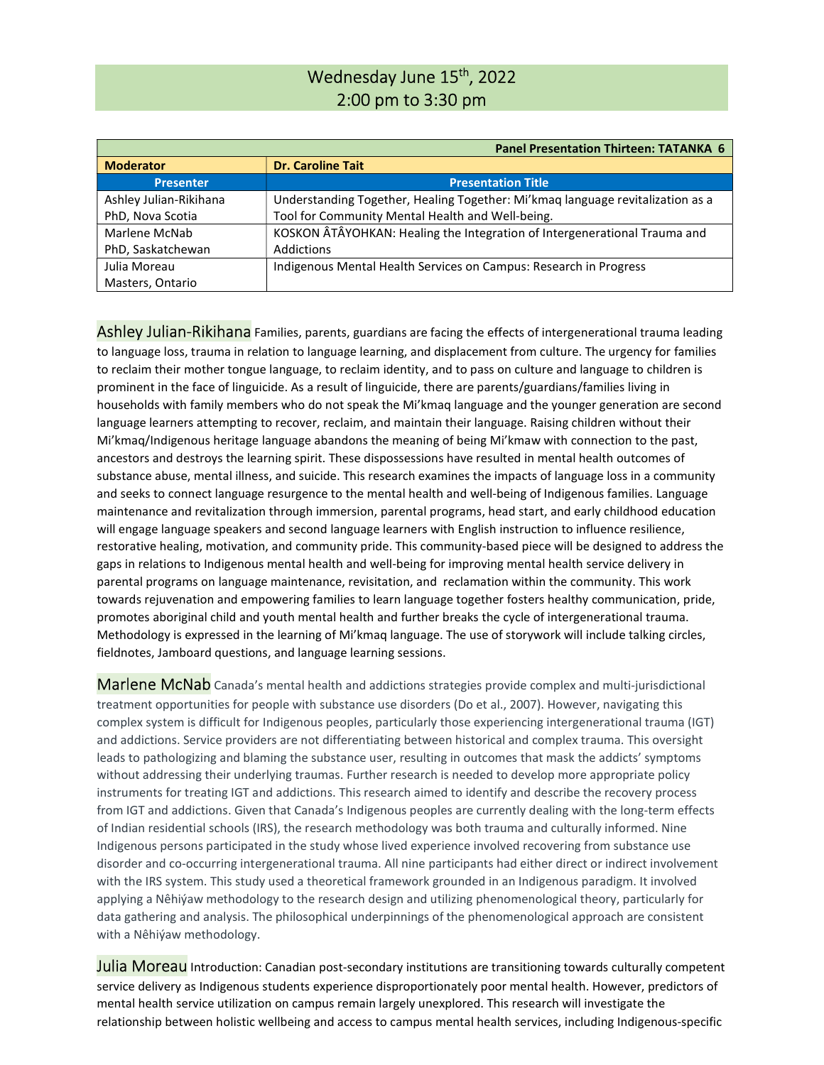# Wednesday June 15<sup>th</sup>, 2022 2:00 pm to 3:30 pm

| <b>Panel Presentation Thirteen: TATANKA 6</b> |                                                                                |
|-----------------------------------------------|--------------------------------------------------------------------------------|
| <b>Moderator</b>                              | <b>Dr. Caroline Tait</b>                                                       |
| <b>Presenter</b>                              | <b>Presentation Title</b>                                                      |
| Ashley Julian-Rikihana                        | Understanding Together, Healing Together: Mi'kmaq language revitalization as a |
| PhD, Nova Scotia                              | Tool for Community Mental Health and Well-being.                               |
| Marlene McNab                                 | KOSKON ÂTÂYOHKAN: Healing the Integration of Intergenerational Trauma and      |
| PhD, Saskatchewan                             | Addictions                                                                     |
| Julia Moreau                                  | Indigenous Mental Health Services on Campus: Research in Progress              |
| Masters, Ontario                              |                                                                                |

Ashley Julian-Rikihana Families, parents, guardians are facing the effects of intergenerational trauma leading to language loss, trauma in relation to language learning, and displacement from culture. The urgency for families to reclaim their mother tongue language, to reclaim identity, and to pass on culture and language to children is prominent in the face of linguicide. As a result of linguicide, there are parents/guardians/families living in households with family members who do not speak the Mi'kmaq language and the younger generation are second language learners attempting to recover, reclaim, and maintain their language. Raising children without their Mi'kmaq/Indigenous heritage language abandons the meaning of being Mi'kmaw with connection to the past, ancestors and destroys the learning spirit. These dispossessions have resulted in mental health outcomes of substance abuse, mental illness, and suicide. This research examines the impacts of language loss in a community and seeks to connect language resurgence to the mental health and well-being of Indigenous families. Language maintenance and revitalization through immersion, parental programs, head start, and early childhood education will engage language speakers and second language learners with English instruction to influence resilience, restorative healing, motivation, and community pride. This community-based piece will be designed to address the gaps in relations to Indigenous mental health and well-being for improving mental health service delivery in parental programs on language maintenance, revisitation, and reclamation within the community. This work towards rejuvenation and empowering families to learn language together fosters healthy communication, pride, promotes aboriginal child and youth mental health and further breaks the cycle of intergenerational trauma. Methodology is expressed in the learning of Mi'kmaq language. The use of storywork will include talking circles, fieldnotes, Jamboard questions, and language learning sessions.

Marlene McNab Canada's mental health and addictions strategies provide complex and multi-jurisdictional treatment opportunities for people with substance use disorders (Do et al., 2007). However, navigating this complex system is difficult for Indigenous peoples, particularly those experiencing intergenerational trauma (IGT) and addictions. Service providers are not differentiating between historical and complex trauma. This oversight leads to pathologizing and blaming the substance user, resulting in outcomes that mask the addicts' symptoms without addressing their underlying traumas. Further research is needed to develop more appropriate policy instruments for treating IGT and addictions. This research aimed to identify and describe the recovery process from IGT and addictions. Given that Canada's Indigenous peoples are currently dealing with the long-term effects of Indian residential schools (IRS), the research methodology was both trauma and culturally informed. Nine Indigenous persons participated in the study whose lived experience involved recovering from substance use disorder and co-occurring intergenerational trauma. All nine participants had either direct or indirect involvement with the IRS system. This study used a theoretical framework grounded in an Indigenous paradigm. It involved applying a Nêhiýaw methodology to the research design and utilizing phenomenological theory, particularly for data gathering and analysis. The philosophical underpinnings of the phenomenological approach are consistent with a Nêhiýaw methodology.

**Julia Moreau** Introduction: Canadian post-secondary institutions are transitioning towards culturally competent service delivery as Indigenous students experience disproportionately poor mental health. However, predictors of mental health service utilization on campus remain largely unexplored. This research will investigate the relationship between holistic wellbeing and access to campus mental health services, including Indigenous-specific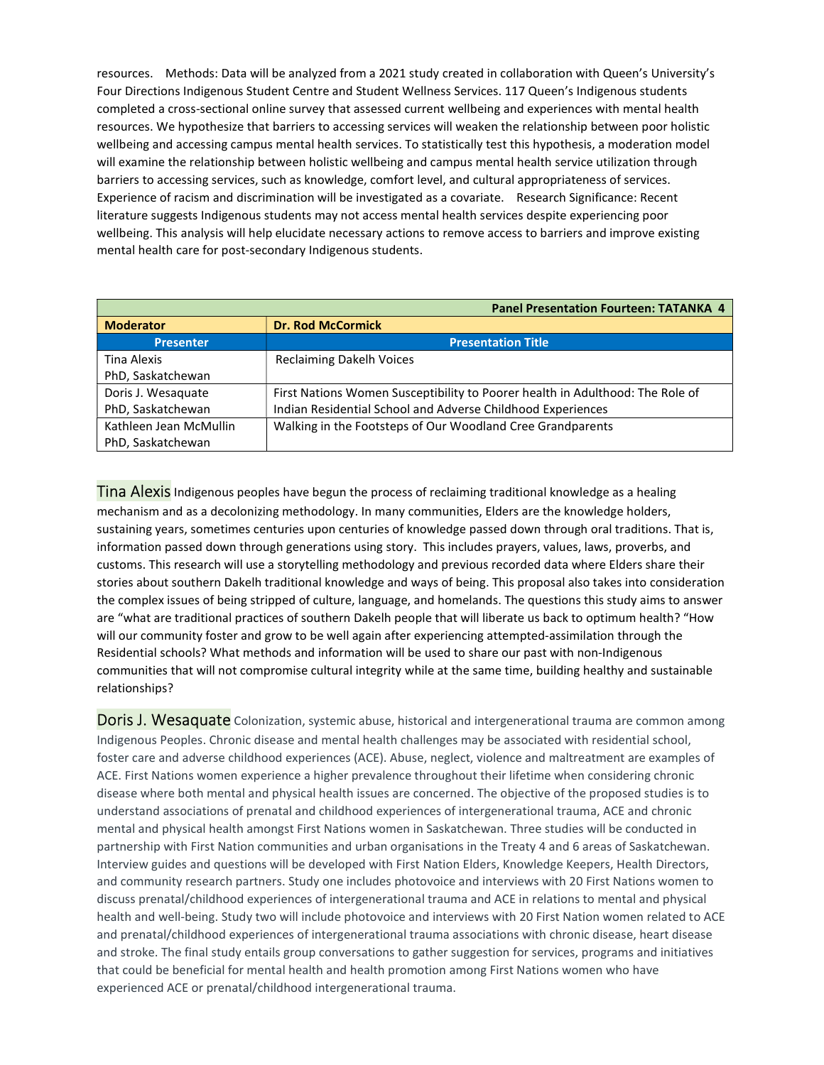resources. Methods: Data will be analyzed from a 2021 study created in collaboration with Queen's University's Four Directions Indigenous Student Centre and Student Wellness Services. 117 Queen's Indigenous students completed a cross-sectional online survey that assessed current wellbeing and experiences with mental health resources. We hypothesize that barriers to accessing services will weaken the relationship between poor holistic wellbeing and accessing campus mental health services. To statistically test this hypothesis, a moderation model will examine the relationship between holistic wellbeing and campus mental health service utilization through barriers to accessing services, such as knowledge, comfort level, and cultural appropriateness of services. Experience of racism and discrimination will be investigated as a covariate. Research Significance: Recent literature suggests Indigenous students may not access mental health services despite experiencing poor wellbeing. This analysis will help elucidate necessary actions to remove access to barriers and improve existing mental health care for post-secondary Indigenous students.

| <b>Panel Presentation Fourteen: TATANKA 4</b> |                                                                               |
|-----------------------------------------------|-------------------------------------------------------------------------------|
| <b>Moderator</b>                              | <b>Dr. Rod McCormick</b>                                                      |
| <b>Presenter</b>                              | <b>Presentation Title</b>                                                     |
| Tina Alexis                                   | <b>Reclaiming Dakelh Voices</b>                                               |
| PhD, Saskatchewan                             |                                                                               |
| Doris J. Wesaguate                            | First Nations Women Susceptibility to Poorer health in Adulthood: The Role of |
| PhD, Saskatchewan                             | Indian Residential School and Adverse Childhood Experiences                   |
| Kathleen Jean McMullin                        | Walking in the Footsteps of Our Woodland Cree Grandparents                    |
| PhD, Saskatchewan                             |                                                                               |

**Tina Alexis** Indigenous peoples have begun the process of reclaiming traditional knowledge as a healing mechanism and as a decolonizing methodology. In many communities, Elders are the knowledge holders, sustaining years, sometimes centuries upon centuries of knowledge passed down through oral traditions. That is, information passed down through generations using story. This includes prayers, values, laws, proverbs, and customs. This research will use a storytelling methodology and previous recorded data where Elders share their stories about southern Dakelh traditional knowledge and ways of being. This proposal also takes into consideration the complex issues of being stripped of culture, language, and homelands. The questions this study aims to answer are "what are traditional practices of southern Dakelh people that will liberate us back to optimum health? "How will our community foster and grow to be well again after experiencing attempted-assimilation through the Residential schools? What methods and information will be used to share our past with non-Indigenous communities that will not compromise cultural integrity while at the same time, building healthy and sustainable relationships?

**Doris J. Wesaquate** Colonization, systemic abuse, historical and intergenerational trauma are common among Indigenous Peoples. Chronic disease and mental health challenges may be associated with residential school, foster care and adverse childhood experiences (ACE). Abuse, neglect, violence and maltreatment are examples of ACE. First Nations women experience a higher prevalence throughout their lifetime when considering chronic disease where both mental and physical health issues are concerned. The objective of the proposed studies is to understand associations of prenatal and childhood experiences of intergenerational trauma, ACE and chronic mental and physical health amongst First Nations women in Saskatchewan. Three studies will be conducted in partnership with First Nation communities and urban organisations in the Treaty 4 and 6 areas of Saskatchewan. Interview guides and questions will be developed with First Nation Elders, Knowledge Keepers, Health Directors, and community research partners. Study one includes photovoice and interviews with 20 First Nations women to discuss prenatal/childhood experiences of intergenerational trauma and ACE in relations to mental and physical health and well-being. Study two will include photovoice and interviews with 20 First Nation women related to ACE and prenatal/childhood experiences of intergenerational trauma associations with chronic disease, heart disease and stroke. The final study entails group conversations to gather suggestion for services, programs and initiatives that could be beneficial for mental health and health promotion among First Nations women who have experienced ACE or prenatal/childhood intergenerational trauma.